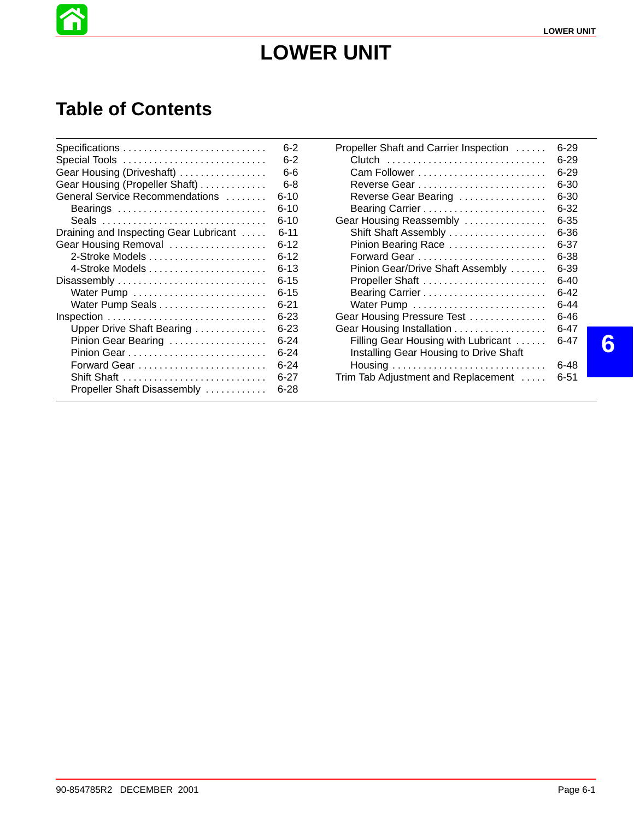

# **LOWER UNIT**

## **Table of Contents**

|                                        | 6-2      |
|----------------------------------------|----------|
| Special Tools                          | $6 - 2$  |
| Gear Housing (Driveshaft)              | 6-6      |
| Gear Housing (Propeller Shaft)         | 6-8      |
| General Service Recommendations        | 6-10     |
| Bearings                               | 6-10     |
|                                        | 6-10     |
| Draining and Inspecting Gear Lubricant | 6-11     |
| Gear Housing Removal                   | ճ-12     |
|                                        | 6-12     |
|                                        | 6-13     |
| Disassembly                            | 6-15     |
|                                        | 6-15     |
|                                        | 6-21     |
| Inspection                             | 6-23     |
| Upper Drive Shaft Bearing              | 6-23     |
| Pinion Gear Bearing                    | 6-24     |
|                                        | 6-24     |
| Forward Gear                           | ճ-24     |
| Shift Shaft                            | $6 - 27$ |
| Propeller Shaft Disassembly            | 6-28     |

| Propeller Shaft and Carrier Inspection | 6-29     |
|----------------------------------------|----------|
| Clutch                                 | 6-29     |
|                                        | $6 - 29$ |
|                                        | 6-30     |
| Reverse Gear Bearing                   | 6-30     |
|                                        | 6-32     |
| Gear Housing Reassembly                | 6-35     |
| Shift Shaft Assembly                   | 6-36     |
| Pinion Bearing Race                    | 6-37     |
|                                        | 6-38     |
| Pinion Gear/Drive Shaft Assembly       | 6-39     |
| Propeller Shaft                        | 6-40     |
|                                        | ճ-42     |
|                                        | 6-44     |
| Gear Housing Pressure Test             | 6-46     |
| Gear Housing Installation              | 6-47     |
| Filling Gear Housing with Lubricant    | 6-47     |
| Installing Gear Housing to Drive Shaft |          |
|                                        | 6-48     |
| Trim Tab Adjustment and Replacement    | 6-51     |

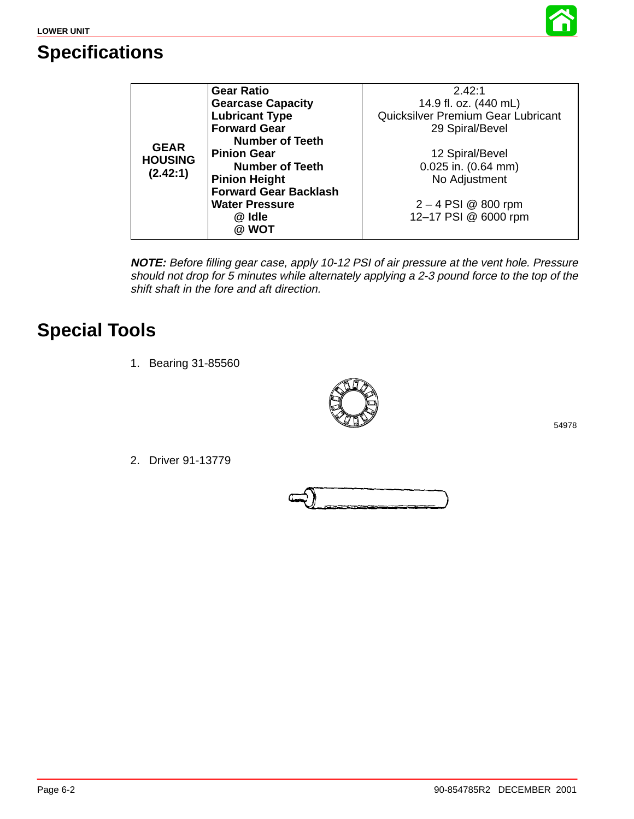

## **Specifications**

|                | <b>Gear Ratio</b>            | 2.42:1                             |
|----------------|------------------------------|------------------------------------|
|                | <b>Gearcase Capacity</b>     | 14.9 fl. oz. (440 mL)              |
|                | <b>Lubricant Type</b>        | Quicksilver Premium Gear Lubricant |
|                | <b>Forward Gear</b>          | 29 Spiral/Bevel                    |
| <b>GEAR</b>    | <b>Number of Teeth</b>       |                                    |
| <b>HOUSING</b> | <b>Pinion Gear</b>           | 12 Spiral/Bevel                    |
|                | <b>Number of Teeth</b>       | $0.025$ in. $(0.64$ mm)            |
| (2.42:1)       | <b>Pinion Height</b>         | No Adjustment                      |
|                | <b>Forward Gear Backlash</b> |                                    |
|                | <b>Water Pressure</b>        | $2 - 4$ PSI @ 800 rpm              |
|                | @ Idle                       | 12-17 PSI @ 6000 rpm               |
|                | @ WOT                        |                                    |

**NOTE:** Before filling gear case, apply 10-12 PSI of air pressure at the vent hole. Pressure should not drop for 5 minutes while alternately applying a 2-3 pound force to the top of the shift shaft in the fore and aft direction.

## **Special Tools**

1. Bearing 31-85560



2. Driver 91-13779

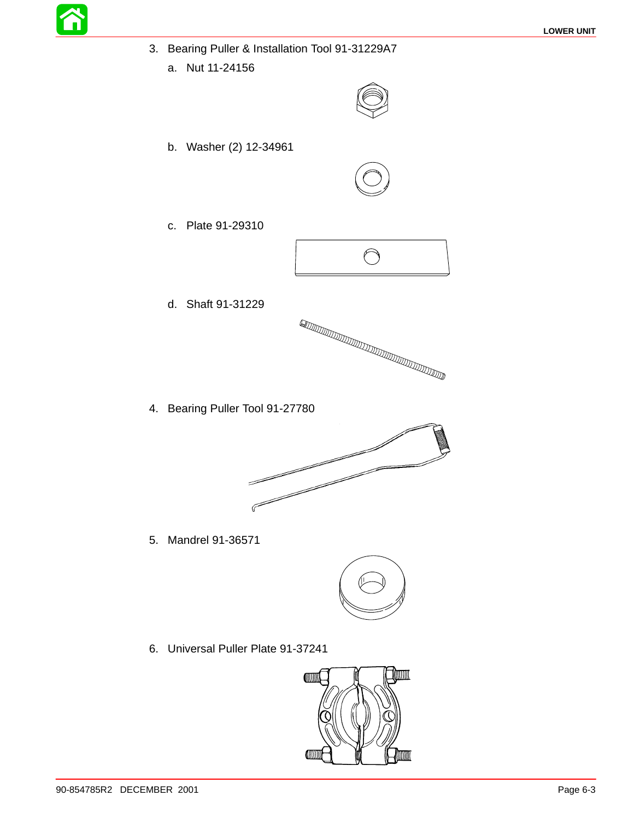- 3. Bearing Puller & Installation Tool 91-31229A7
	- a. Nut 11-24156



b. Washer (2) 12-34961



c. Plate 91-29310



d. Shaft 91-31229



4. Bearing Puller Tool 91-27780



5. Mandrel 91-36571



6. Universal Puller Plate 91-37241

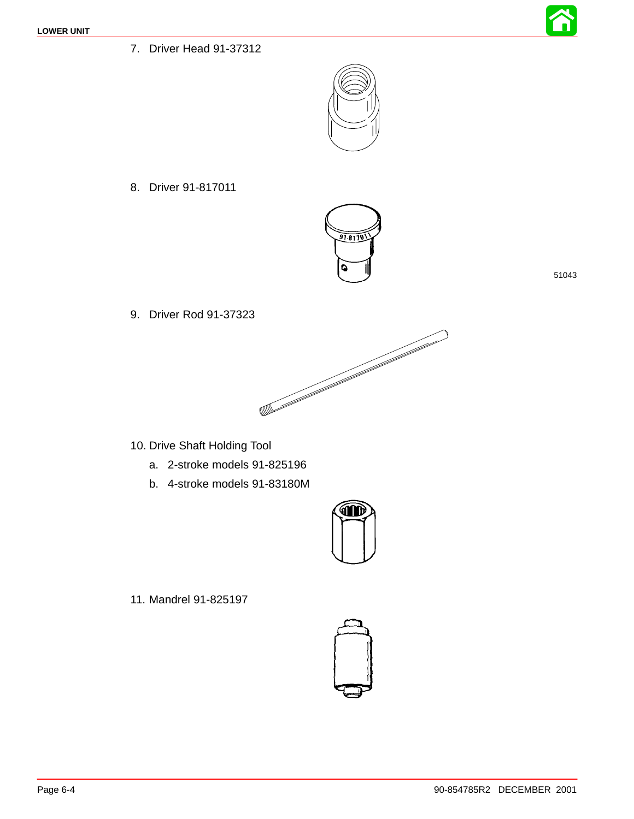<span id="page-3-0"></span>7. Driver Head 91-37312



8. Driver 91-817011



51043

9. Driver Rod 91-37323



- 10. Drive Shaft Holding Tool
	- a. 2-stroke models 91-825196
	- b. 4-stroke models 91-83180M



11. Mandrel 91-825197

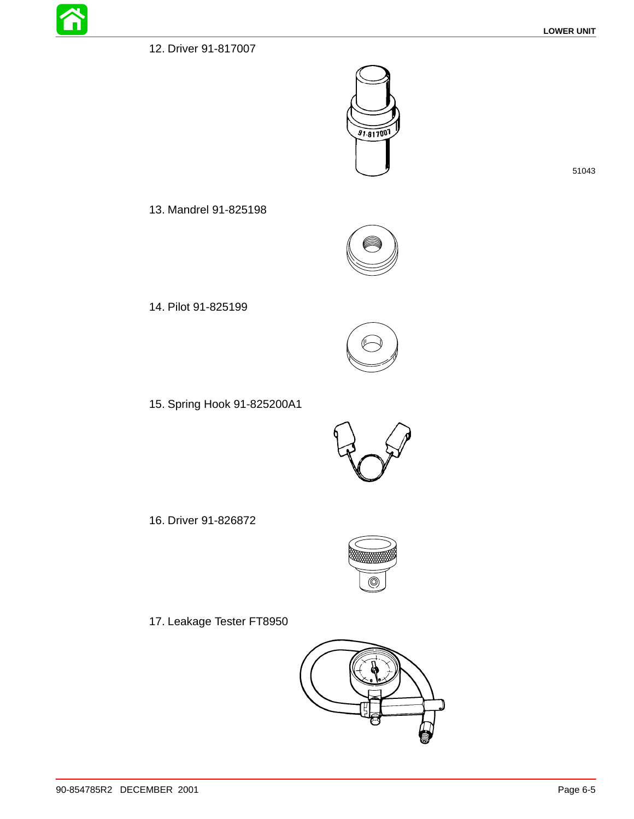



51043

13. Mandrel 91-825198



14. Pilot 91-825199



15. Spring Hook 91-825200A1



16. Driver 91-826872



17. Leakage Tester FT8950

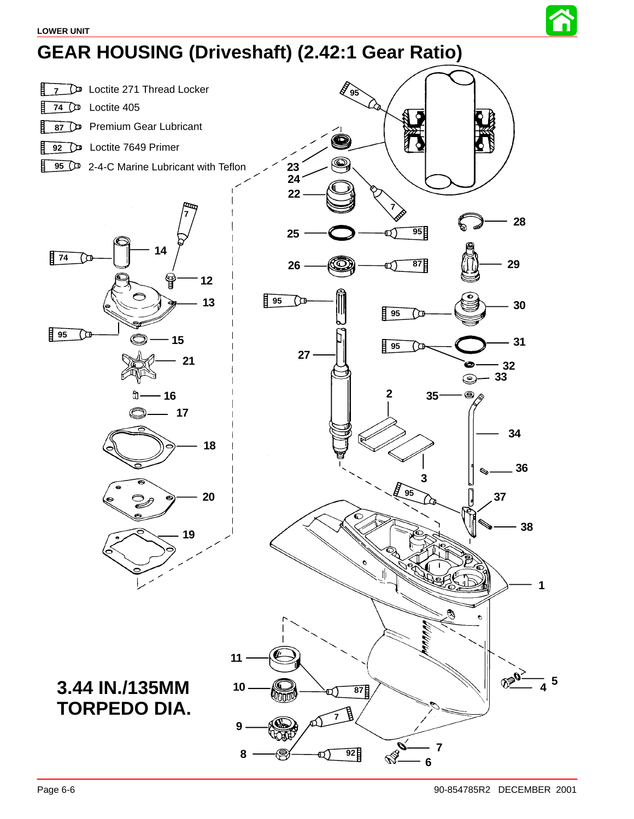

# **GEAR HOUSING (Driveshaft) (2.42:1 Gear Ratio)**

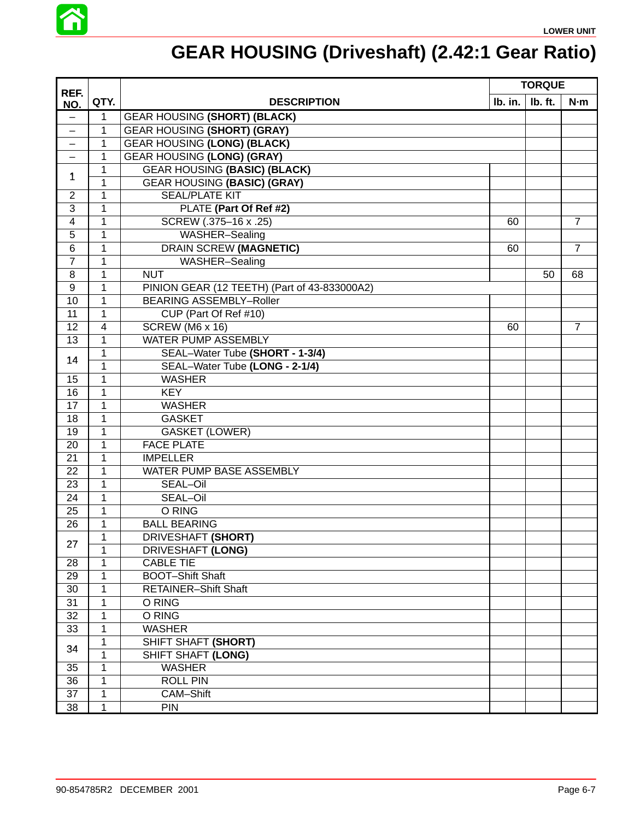

# **GEAR HOUSING (Driveshaft) (2.42:1 Gear Ratio)**

| REF.              |                |                                              |         | <b>TORQUE</b> |                |
|-------------------|----------------|----------------------------------------------|---------|---------------|----------------|
| NO.               | QTY.           | <b>DESCRIPTION</b>                           | Ib. in. | Ib. ft.       | N·m            |
| $\qquad \qquad -$ | $\mathbf{1}$   | <b>GEAR HOUSING (SHORT) (BLACK)</b>          |         |               |                |
| $\qquad \qquad -$ | 1              | <b>GEAR HOUSING (SHORT) (GRAY)</b>           |         |               |                |
|                   | 1              | <b>GEAR HOUSING (LONG) (BLACK)</b>           |         |               |                |
|                   | 1              | <b>GEAR HOUSING (LONG) (GRAY)</b>            |         |               |                |
| 1                 | 1              | <b>GEAR HOUSING (BASIC) (BLACK)</b>          |         |               |                |
|                   | 1              | <b>GEAR HOUSING (BASIC) (GRAY)</b>           |         |               |                |
| $\overline{2}$    | 1              | <b>SEAL/PLATE KIT</b>                        |         |               |                |
| 3                 | 1              | PLATE (Part Of Ref #2)                       |         |               |                |
| $\overline{4}$    | 1              | SCREW (.375-16 x .25)                        | 60      |               | $\overline{7}$ |
| 5                 | 1              | WASHER-Sealing                               |         |               |                |
| 6                 | 1              | <b>DRAIN SCREW (MAGNETIC)</b>                | 60      |               | $\overline{7}$ |
| $\overline{7}$    | 1              | WASHER-Sealing                               |         |               |                |
| 8                 | 1              | <b>NUT</b>                                   |         | 50            | 68             |
| 9                 | 1              | PINION GEAR (12 TEETH) (Part of 43-833000A2) |         |               |                |
| 10                | 1              | <b>BEARING ASSEMBLY-Roller</b>               |         |               |                |
| 11                | 1              | CUP (Part Of Ref #10)                        |         |               |                |
| 12                | $\overline{4}$ | SCREW (M6 x 16)                              | 60      |               | $\overline{7}$ |
| 13                | 1              | WATER PUMP ASSEMBLY                          |         |               |                |
| 14                | 1              | SEAL-Water Tube (SHORT - 1-3/4)              |         |               |                |
|                   | 1              | SEAL-Water Tube (LONG - 2-1/4)               |         |               |                |
| 15                | 1              | <b>WASHER</b>                                |         |               |                |
| 16                | 1              | <b>KEY</b>                                   |         |               |                |
| 17                | $\mathbf 1$    | <b>WASHER</b>                                |         |               |                |
| 18                | 1              | <b>GASKET</b>                                |         |               |                |
| 19                | 1              | <b>GASKET (LOWER)</b>                        |         |               |                |
| 20                | 1              | <b>FACE PLATE</b>                            |         |               |                |
| 21                | 1              | <b>IMPELLER</b>                              |         |               |                |
| 22                | 1              | WATER PUMP BASE ASSEMBLY                     |         |               |                |
| 23                | $\mathbf 1$    | SEAL-Oil                                     |         |               |                |
| 24                | $\mathbf 1$    | SEAL-Oil                                     |         |               |                |
| 25                | $\mathbf 1$    | O RING                                       |         |               |                |
| 26                | 1              | <b>BALL BEARING</b>                          |         |               |                |
| 27                | 1              | <b>DRIVESHAFT (SHORT)</b>                    |         |               |                |
|                   | 1              | <b>DRIVESHAFT (LONG)</b>                     |         |               |                |
| 28                | 1              | <b>CABLE TIE</b>                             |         |               |                |
| 29                | 1              | <b>BOOT-Shift Shaft</b>                      |         |               |                |
| 30                | 1              | <b>RETAINER-Shift Shaft</b>                  |         |               |                |
| 31                | 1              | O RING                                       |         |               |                |
| 32                | 1              | O RING                                       |         |               |                |
| 33                | 1              | <b>WASHER</b>                                |         |               |                |
| 34                | 1              | SHIFT SHAFT (SHORT)                          |         |               |                |
|                   | $\mathbf 1$    | SHIFT SHAFT (LONG)                           |         |               |                |
| 35                | 1              | <b>WASHER</b>                                |         |               |                |
| 36                | 1              | <b>ROLL PIN</b>                              |         |               |                |
| 37                | 1              | CAM-Shift                                    |         |               |                |
| 38                | 1              | <b>PIN</b>                                   |         |               |                |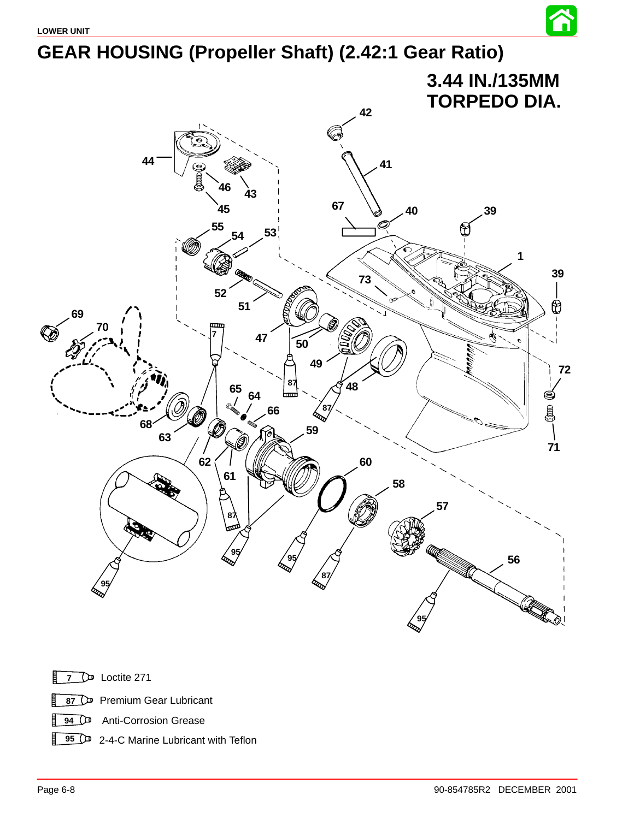



Loctite 271

 Premium Gear Lubricant【

**94** O<sup>D</sup> Anti-Corrosion Grease

**95** <sup>2-4-C</sup> Marine Lubricant with Teflon

谷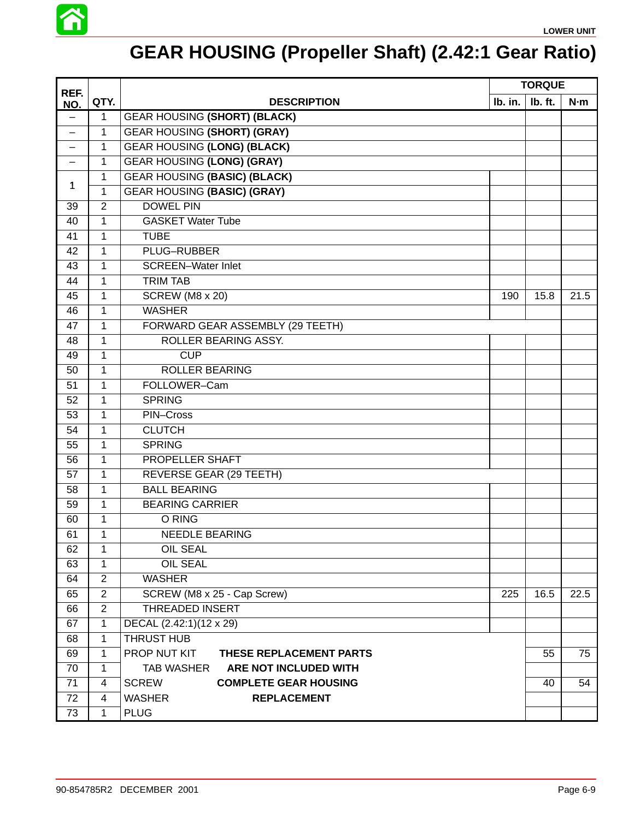

# **GEAR HOUSING (Propeller Shaft) (2.42:1 Gear Ratio)**

| REF.              |                |                                              |         | <b>TORQUE</b> |      |
|-------------------|----------------|----------------------------------------------|---------|---------------|------|
| NO.               | QTY.           | <b>DESCRIPTION</b>                           | Ib. in. | Ib. ft.       | N·m  |
| $\qquad \qquad -$ | 1              | <b>GEAR HOUSING (SHORT) (BLACK)</b>          |         |               |      |
|                   | 1              | <b>GEAR HOUSING (SHORT) (GRAY)</b>           |         |               |      |
|                   | 1              | <b>GEAR HOUSING (LONG) (BLACK)</b>           |         |               |      |
|                   | $\mathbf{1}$   | <b>GEAR HOUSING (LONG) (GRAY)</b>            |         |               |      |
|                   | 1              | <b>GEAR HOUSING (BASIC) (BLACK)</b>          |         |               |      |
| 1                 | $\mathbf{1}$   | <b>GEAR HOUSING (BASIC) (GRAY)</b>           |         |               |      |
| 39                | $\overline{2}$ | <b>DOWEL PIN</b>                             |         |               |      |
| 40                | 1              | <b>GASKET Water Tube</b>                     |         |               |      |
| 41                | 1              | <b>TUBE</b>                                  |         |               |      |
| 42                | 1              | PLUG-RUBBER                                  |         |               |      |
| 43                | 1              | <b>SCREEN-Water Inlet</b>                    |         |               |      |
| 44                | $\mathbf{1}$   | <b>TRIM TAB</b>                              |         |               |      |
| 45                | 1              | <b>SCREW (M8 x 20)</b>                       | 190     | 15.8          | 21.5 |
| 46                | 1              | <b>WASHER</b>                                |         |               |      |
| 47                | 1              | FORWARD GEAR ASSEMBLY (29 TEETH)             |         |               |      |
| $\overline{48}$   | $\mathbf{1}$   | ROLLER BEARING ASSY.                         |         |               |      |
| 49                | $\mathbf{1}$   | <b>CUP</b>                                   |         |               |      |
| 50                | 1              | <b>ROLLER BEARING</b>                        |         |               |      |
| 51                | 1              | FOLLOWER-Cam                                 |         |               |      |
| 52                | 1              | <b>SPRING</b>                                |         |               |      |
| $\overline{53}$   | $\mathbf{1}$   | PIN-Cross                                    |         |               |      |
| 54                | 1              | <b>CLUTCH</b>                                |         |               |      |
| 55                | 1              | <b>SPRING</b>                                |         |               |      |
| 56                | 1              | <b>PROPELLER SHAFT</b>                       |         |               |      |
| 57                | 1              | <b>REVERSE GEAR (29 TEETH)</b>               |         |               |      |
| 58                | $\mathbf{1}$   | <b>BALL BEARING</b>                          |         |               |      |
| 59                | 1              | <b>BEARING CARRIER</b>                       |         |               |      |
| 60                | 1              | O RING                                       |         |               |      |
| 61                | 1              | <b>NEEDLE BEARING</b>                        |         |               |      |
| 62                | 1              | <b>OIL SEAL</b>                              |         |               |      |
| 63                | $\mathbf{1}$   | <b>OIL SEAL</b>                              |         |               |      |
| 64                | 2              | <b>WASHER</b>                                |         |               |      |
| 65                | $\overline{2}$ | SCREW (M8 x 25 - Cap Screw)                  | 225     | 16.5          | 22.5 |
| 66                | $\overline{2}$ | <b>THREADED INSERT</b>                       |         |               |      |
| 67                | 1              | DECAL (2.42:1)(12 x 29)                      |         |               |      |
| 68                | $\mathbf{1}$   | THRUST HUB                                   |         |               |      |
| 69                | $\mathbf{1}$   | PROP NUT KIT<br>THESE REPLACEMENT PARTS      |         | 55            | 75   |
| 70                | 1              | <b>TAB WASHER</b><br>ARE NOT INCLUDED WITH   |         |               |      |
| 71                | 4              | <b>SCREW</b><br><b>COMPLETE GEAR HOUSING</b> |         | 40            | 54   |
| $\overline{72}$   | 4              | <b>WASHER</b><br><b>REPLACEMENT</b>          |         |               |      |
| 73                | 1              | <b>PLUG</b>                                  |         |               |      |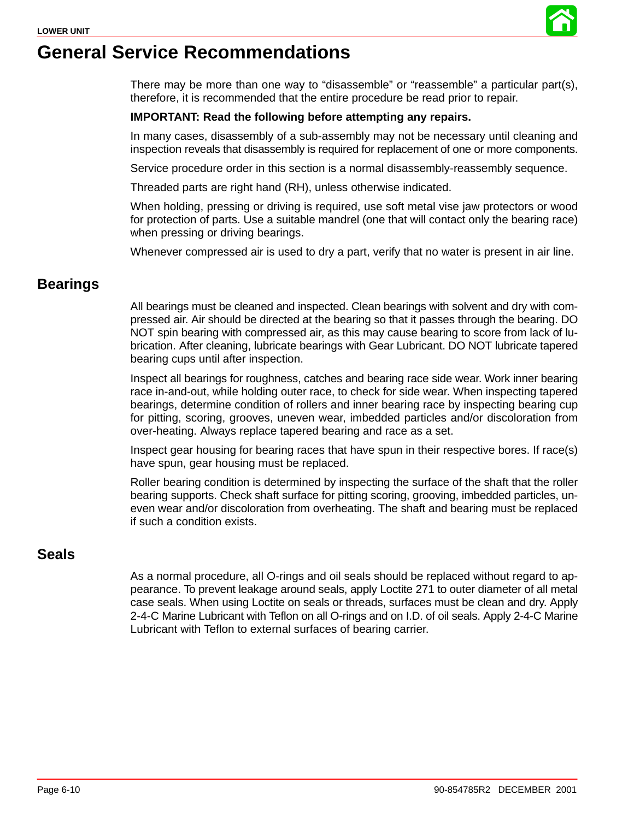

There may be more than one way to "disassemble" or "reassemble" a particular part(s), therefore, it is recommended that the entire procedure be read prior to repair.

#### **IMPORTANT: Read the following before attempting any repairs.**

In many cases, disassembly of a sub-assembly may not be necessary until cleaning and inspection reveals that disassembly is required for replacement of one or more components.

Service procedure order in this section is a normal disassembly-reassembly sequence.

Threaded parts are right hand (RH), unless otherwise indicated.

When holding, pressing or driving is required, use soft metal vise jaw protectors or wood for protection of parts. Use a suitable mandrel (one that will contact only the bearing race) when pressing or driving bearings.

Whenever compressed air is used to dry a part, verify that no water is present in air line.

#### **Bearings**

All bearings must be cleaned and inspected. Clean bearings with solvent and dry with compressed air. Air should be directed at the bearing so that it passes through the bearing. DO NOT spin bearing with compressed air, as this may cause bearing to score from lack of lubrication. After cleaning, lubricate bearings with Gear Lubricant. DO NOT lubricate tapered bearing cups until after inspection.

Inspect all bearings for roughness, catches and bearing race side wear. Work inner bearing race in-and-out, while holding outer race, to check for side wear. When inspecting tapered bearings, determine condition of rollers and inner bearing race by inspecting bearing cup for pitting, scoring, grooves, uneven wear, imbedded particles and/or discoloration from over-heating. Always replace tapered bearing and race as a set.

Inspect gear housing for bearing races that have spun in their respective bores. If race(s) have spun, gear housing must be replaced.

Roller bearing condition is determined by inspecting the surface of the shaft that the roller bearing supports. Check shaft surface for pitting scoring, grooving, imbedded particles, uneven wear and/or discoloration from overheating. The shaft and bearing must be replaced if such a condition exists.

#### **Seals**

As a normal procedure, all O-rings and oil seals should be replaced without regard to appearance. To prevent leakage around seals, apply Loctite 271 to outer diameter of all metal case seals. When using Loctite on seals or threads, surfaces must be clean and dry. Apply 2-4-C Marine Lubricant with Teflon on all O-rings and on I.D. of oil seals. Apply 2-4-C Marine Lubricant with Teflon to external surfaces of bearing carrier.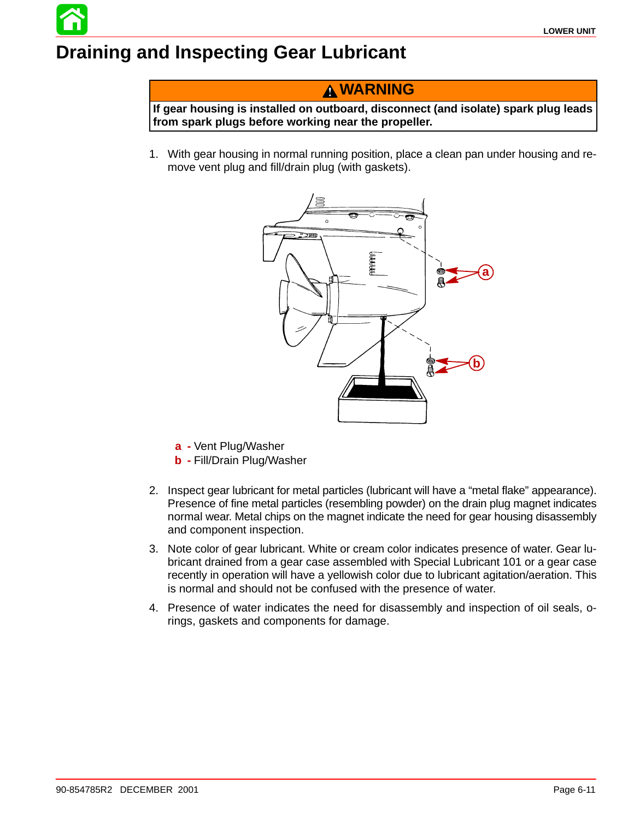# **Draining and Inspecting Gear Lubricant**

**WARNING**

**If gear housing is installed on outboard, disconnect (and isolate) spark plug leads from spark plugs before working near the propeller.**

1. With gear housing in normal running position, place a clean pan under housing and remove vent plug and fill/drain plug (with gaskets).



- **a -** Vent Plug/Washer
- **b -** Fill/Drain Plug/Washer
- 2. Inspect gear lubricant for metal particles (lubricant will have a "metal flake" appearance). Presence of fine metal particles (resembling powder) on the drain plug magnet indicates normal wear. Metal chips on the magnet indicate the need for gear housing disassembly and component inspection.
- 3. Note color of gear lubricant. White or cream color indicates presence of water. Gear lubricant drained from a gear case assembled with Special Lubricant 101 or a gear case recently in operation will have a yellowish color due to lubricant agitation/aeration. This is normal and should not be confused with the presence of water.
- 4. Presence of water indicates the need for disassembly and inspection of oil seals, orings, gaskets and components for damage.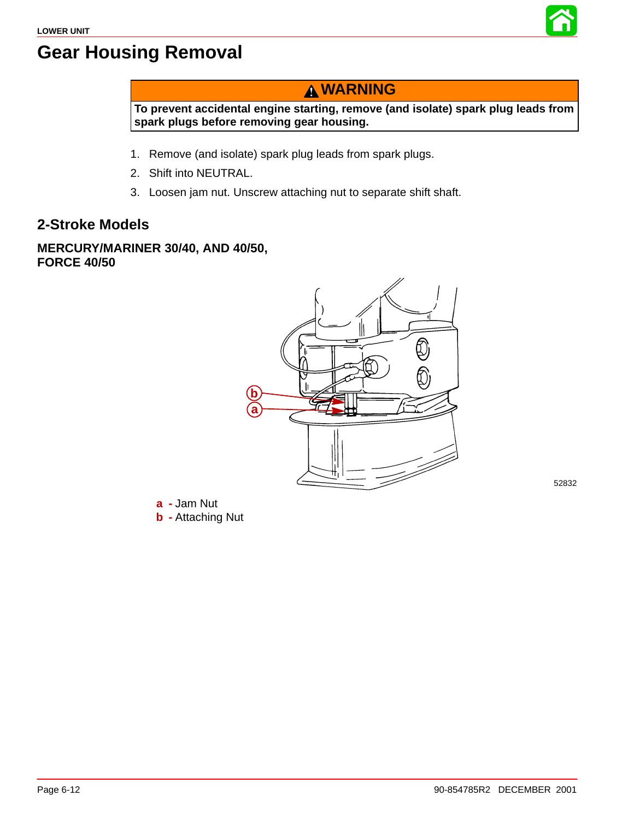

## **Gear Housing Removal**

## **WARNING**

**To prevent accidental engine starting, remove (and isolate) spark plug leads from spark plugs before removing gear housing.**

- 1. Remove (and isolate) spark plug leads from spark plugs.
- 2. Shift into NEUTRAL.
- 3. Loosen jam nut. Unscrew attaching nut to separate shift shaft.

### **2-Stroke Models**

#### **MERCURY/MARINER 30/40, AND 40/50, FORCE 40/50**



52832

**a -** Jam Nut **b -** Attaching Nut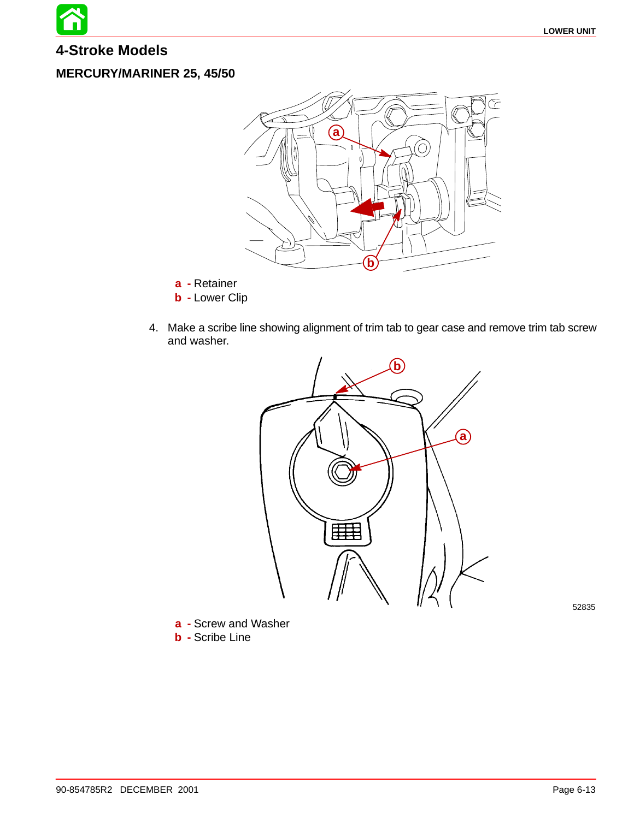**4-Stroke Models**

#### **MERCURY/MARINER 25, 45/50**



**a -** Retainer

- **b -** Lower Clip
- 4. Make a scribe line showing alignment of trim tab to gear case and remove trim tab screw and washer.



52835

**a -** Screw and Washer **b -** Scribe Line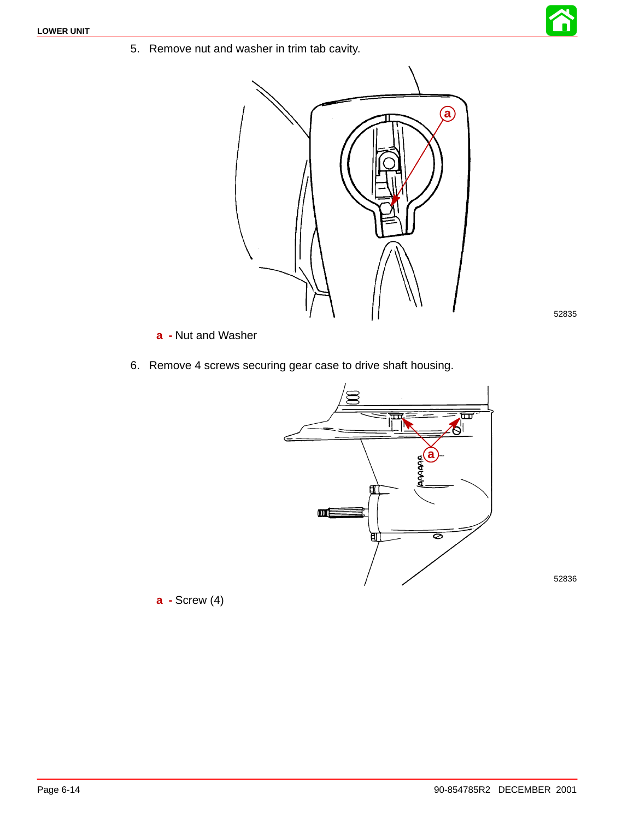5. Remove nut and washer in trim tab cavity.



- **a -** Nut and Washer
- 6. Remove 4 screws securing gear case to drive shaft housing.



**a -** Screw (4)

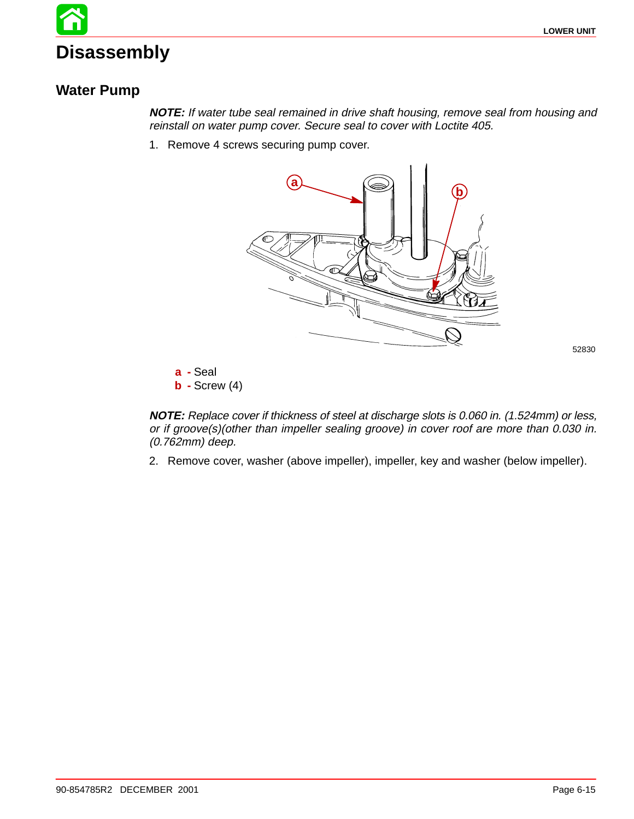# **Disassembly**

### **Water Pump**

**NOTE:** If water tube seal remained in drive shaft housing, remove seal from housing and reinstall on water pump cover. Secure seal to cover with Loctite 405.

1. Remove 4 screws securing pump cover.



52830

**a -** Seal **b -** Screw (4)

**NOTE:** Replace cover if thickness of steel at discharge slots is 0.060 in. (1.524mm) or less, or if groove(s)(other than impeller sealing groove) in cover roof are more than 0.030 in. (0.762mm) deep.

2. Remove cover, washer (above impeller), impeller, key and washer (below impeller).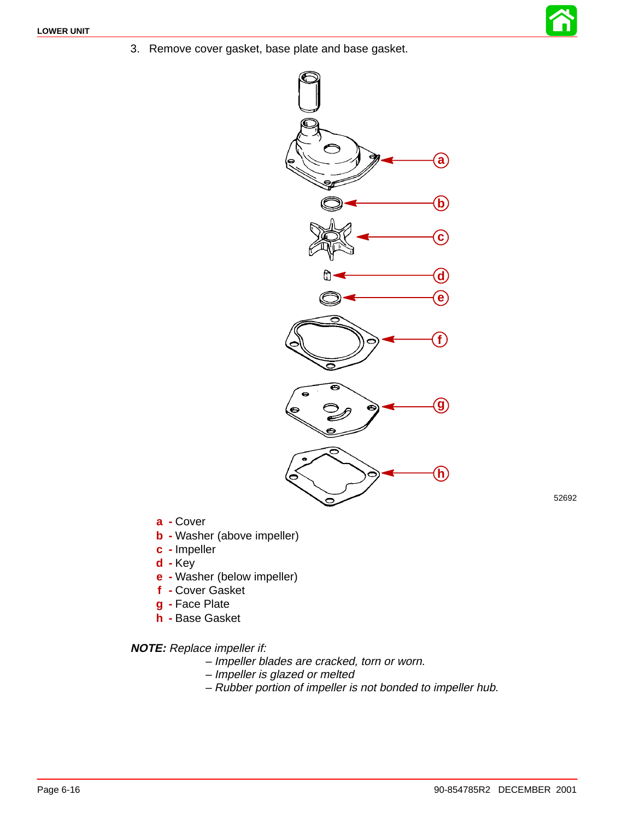3. Remove cover gasket, base plate and base gasket.



52692

- **a -** Cover
- **b -** Washer (above impeller)
- **c -** Impeller
- **d -** Key
- **e -** Washer (below impeller)
- **f -** Cover Gasket
- **g -** Face Plate
- **h -** Base Gasket

**NOTE:** Replace impeller if:

- Impeller blades are cracked, torn or worn.
- Impeller is glazed or melted
- Rubber portion of impeller is not bonded to impeller hub.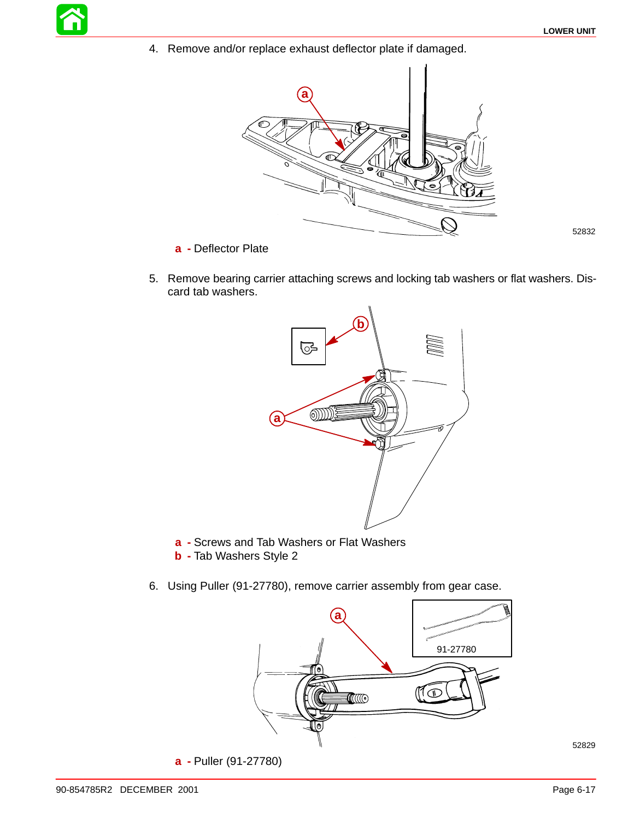4. Remove and/or replace exhaust deflector plate if damaged.



**a -** Deflector Plate

52832

5. Remove bearing carrier attaching screws and locking tab washers or flat washers. Discard tab washers.



- **a -** Screws and Tab Washers or Flat Washers
- **b -** Tab Washers Style 2
- 6. Using Puller (91-27780), remove carrier assembly from gear case.



**a -** Puller (91-27780)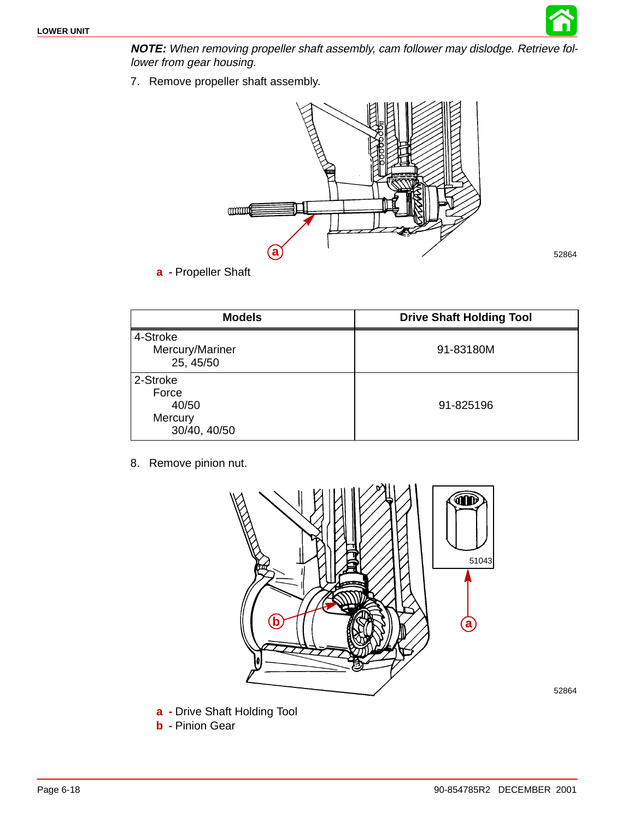

**NOTE:** When removing propeller shaft assembly, cam follower may dislodge. Retrieve follower from gear housing.

7. Remove propeller shaft assembly.



**a -** Propeller Shaft

| <b>Models</b>                                         | <b>Drive Shaft Holding Tool</b> |
|-------------------------------------------------------|---------------------------------|
| 4-Stroke<br>Mercury/Mariner<br>25, 45/50              | 91-83180M                       |
| 2-Stroke<br>Force<br>40/50<br>Mercury<br>30/40, 40/50 | 91-825196                       |

8. Remove pinion nut.



- **a -** Drive Shaft Holding Tool
- **b -** Pinion Gear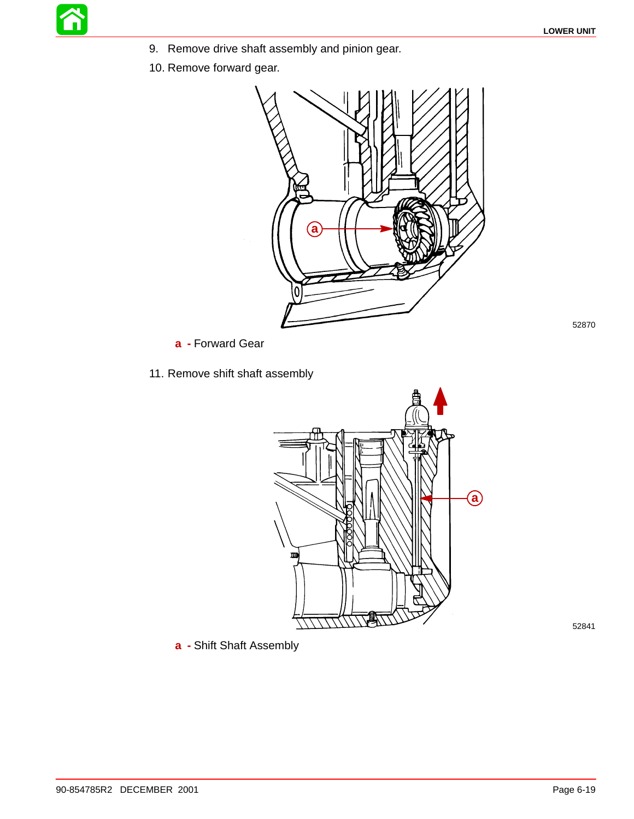- 9. Remove drive shaft assembly and pinion gear.
- 10. Remove forward gear.



**a -** Forward Gear

11. Remove shift shaft assembly



52841

52870

**a -** Shift Shaft Assembly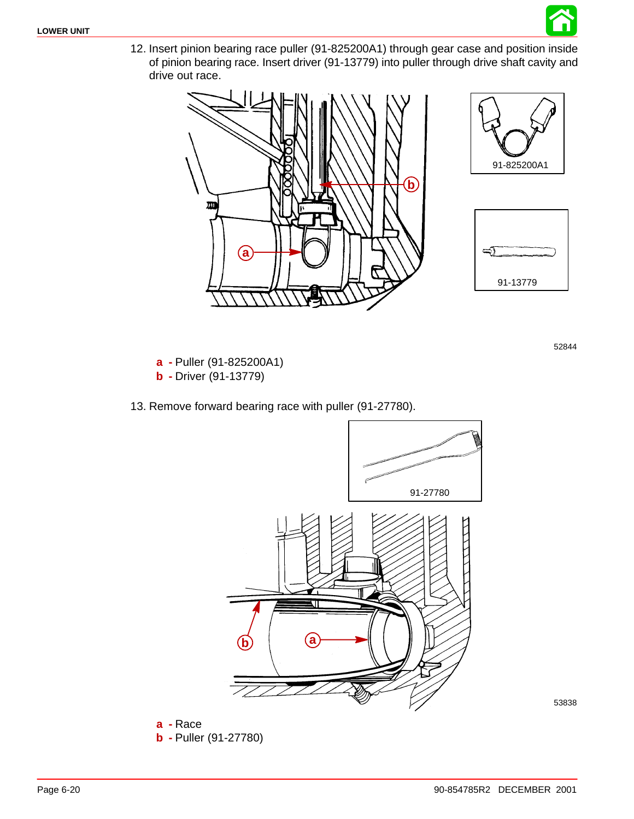

12. Insert pinion bearing race puller (91-825200A1) through gear case and position inside of pinion bearing race. Insert driver (91-13779) into puller through drive shaft cavity and drive out race.







52844

**a -** Puller (91-825200A1) **b -** Driver (91-13779)

13. Remove forward bearing race with puller (91-27780).



53838

**a -** Race **b -** Puller (91-27780)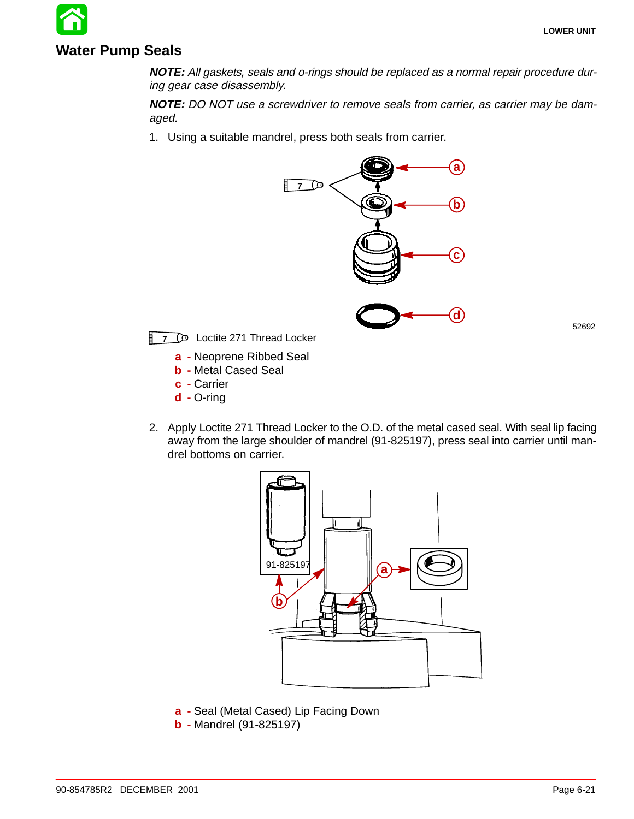#### **Water Pump Seals**

**NOTE:** All gaskets, seals and o-rings should be replaced as a normal repair procedure during gear case disassembly.

**NOTE:** DO NOT use a screwdriver to remove seals from carrier, as carrier may be damaged.

1. Using a suitable mandrel, press both seals from carrier.



52692

**7** D<sup>D</sup> Loctite 271 Thread Locker

- **a -** Neoprene Ribbed Seal
- **b -** Metal Cased Seal
- **c -** Carrier
- **d -** O-ring
- 2. Apply Loctite 271 Thread Locker to the O.D. of the metal cased seal. With seal lip facing away from the large shoulder of mandrel (91-825197), press seal into carrier until mandrel bottoms on carrier.



- **a -** Seal (Metal Cased) Lip Facing Down
- **b -** Mandrel (91-825197)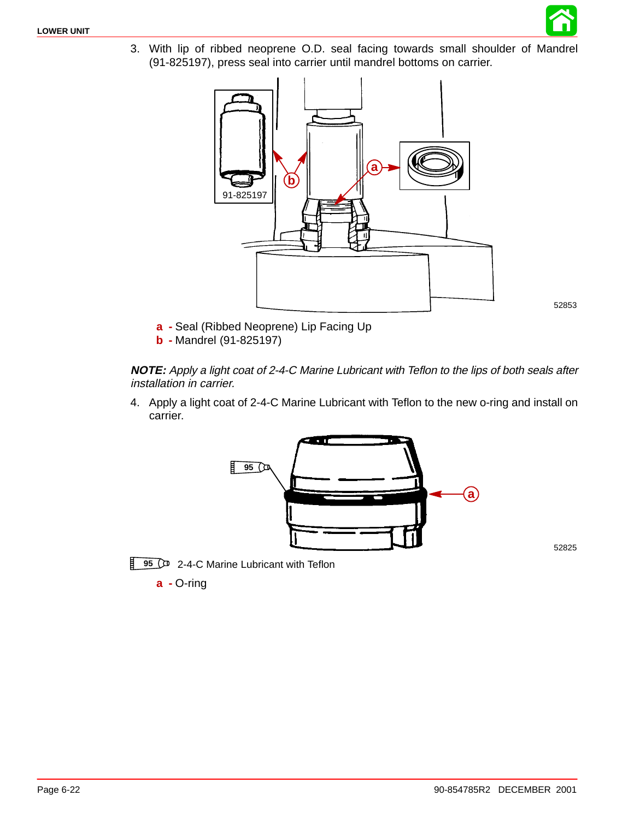

3. With lip of ribbed neoprene O.D. seal facing towards small shoulder of Mandrel (91-825197), press seal into carrier until mandrel bottoms on carrier.



52853

- **a -** Seal (Ribbed Neoprene) Lip Facing Up
- **b -** Mandrel (91-825197)

**NOTE:** Apply a light coat of 2-4-C Marine Lubricant with Teflon to the lips of both seals after installation in carrier.

4. Apply a light coat of 2-4-C Marine Lubricant with Teflon to the new o-ring and install on carrier.



52825



**a -** O-ring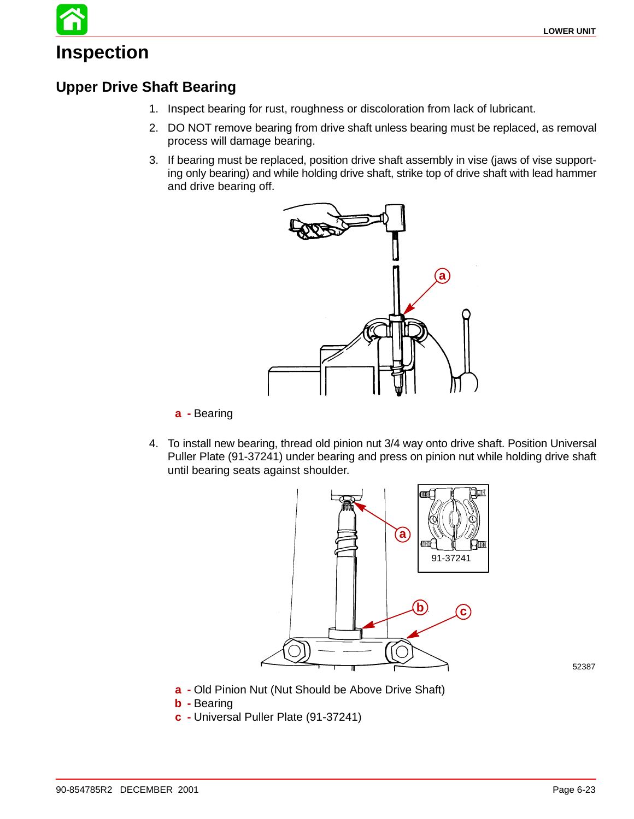# **Inspection**

## **Upper Drive Shaft Bearing**

- 1. Inspect bearing for rust, roughness or discoloration from lack of lubricant.
- 2. DO NOT remove bearing from drive shaft unless bearing must be replaced, as removal process will damage bearing.
- 3. If bearing must be replaced, position drive shaft assembly in vise (jaws of vise supporting only bearing) and while holding drive shaft, strike top of drive shaft with lead hammer and drive bearing off.



**a -** Bearing

4. To install new bearing, thread old pinion nut 3/4 way onto drive shaft. Position Universal Puller Plate (91-37241) under bearing and press on pinion nut while holding drive shaft until bearing seats against shoulder.



- **a -** Old Pinion Nut (Nut Should be Above Drive Shaft)
- **b -** Bearing
- **c -** Universal Puller Plate (91-37241)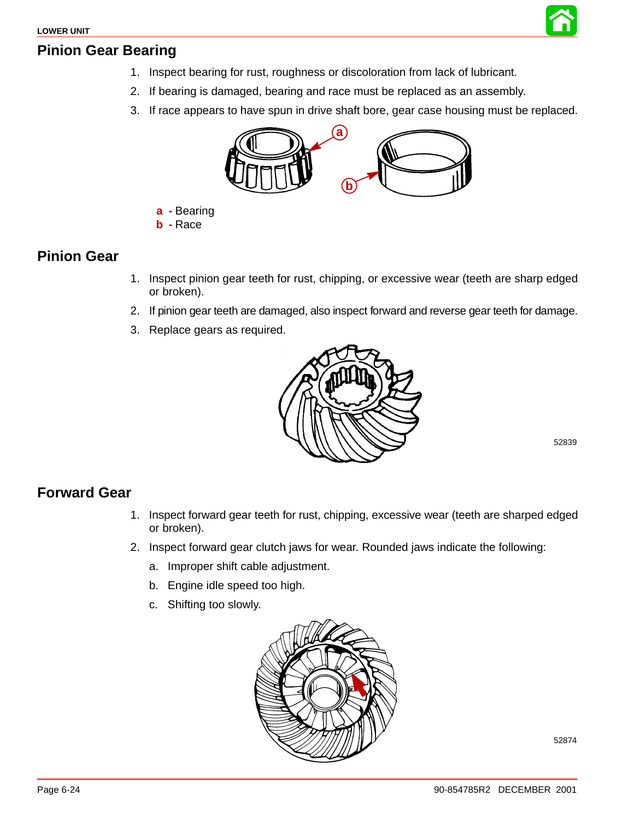

#### **Pinion Gear Bearing**

- 1. Inspect bearing for rust, roughness or discoloration from lack of lubricant.
- 2. If bearing is damaged, bearing and race must be replaced as an assembly.
- 3. If race appears to have spun in drive shaft bore, gear case housing must be replaced.



- **a -** Bearing
- **b -** Race

#### **Pinion Gear**

- 1. Inspect pinion gear teeth for rust, chipping, or excessive wear (teeth are sharp edged or broken).
- 2. If pinion gear teeth are damaged, also inspect forward and reverse gear teeth for damage.
- 3. Replace gears as required.



52839

### **Forward Gear**

- 1. Inspect forward gear teeth for rust, chipping, excessive wear (teeth are sharped edged or broken).
- 2. Inspect forward gear clutch jaws for wear. Rounded jaws indicate the following:
	- a. Improper shift cable adjustment.
	- b. Engine idle speed too high.
	- c. Shifting too slowly.

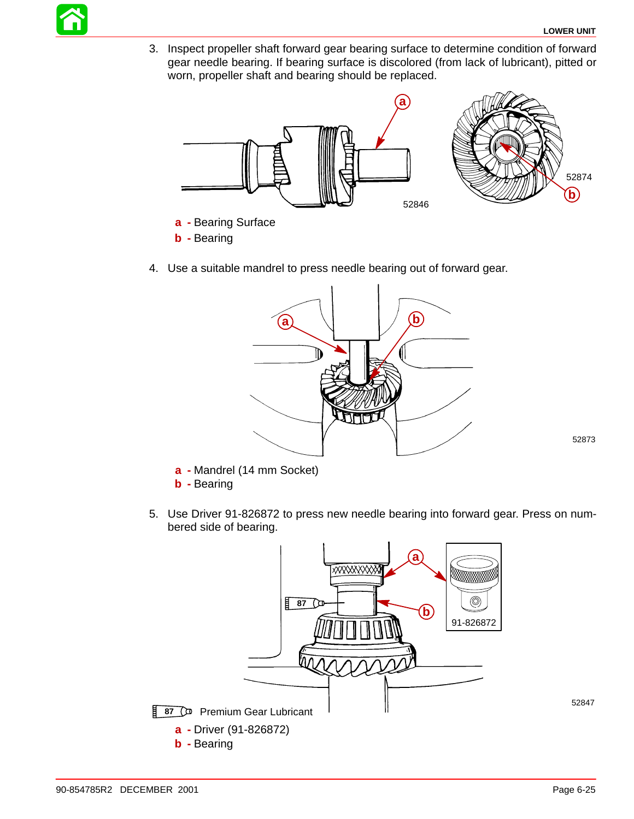

3. Inspect propeller shaft forward gear bearing surface to determine condition of forward gear needle bearing. If bearing surface is discolored (from lack of lubricant), pitted or worn, propeller shaft and bearing should be replaced.



- **b -** Bearing
- 4. Use a suitable mandrel to press needle bearing out of forward gear.



52873

- **a -** Mandrel (14 mm Socket) **b -** Bearing
- 5. Use Driver 91-826872 to press new needle bearing into forward gear. Press on numbered side of bearing.

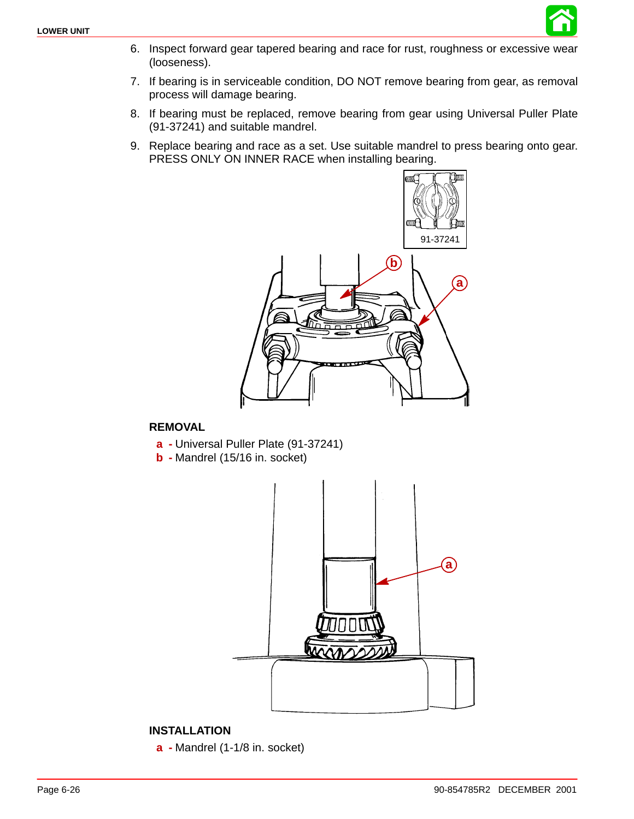

- 6. Inspect forward gear tapered bearing and race for rust, roughness or excessive wear (looseness).
- 7. If bearing is in serviceable condition, DO NOT remove bearing from gear, as removal process will damage bearing.
- 8. If bearing must be replaced, remove bearing from gear using Universal Puller Plate (91-37241) and suitable mandrel.
- 9. Replace bearing and race as a set. Use suitable mandrel to press bearing onto gear. PRESS ONLY ON INNER RACE when installing bearing.



#### **REMOVAL**

- **a -** Universal Puller Plate (91-37241)
- **b -** Mandrel (15/16 in. socket)



#### **INSTALLATION**

**a -** Mandrel (1-1/8 in. socket)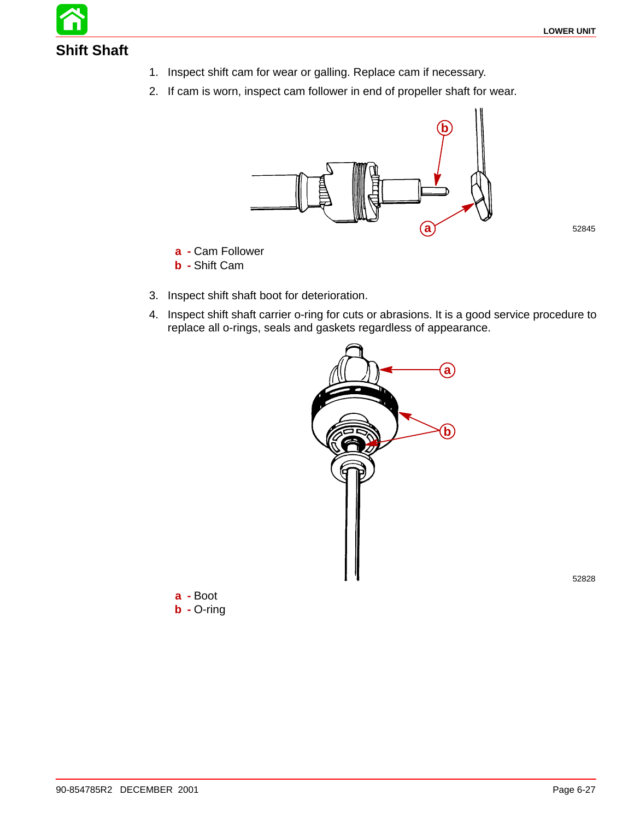

- 1. Inspect shift cam for wear or galling. Replace cam if necessary.
- 2. If cam is worn, inspect cam follower in end of propeller shaft for wear.



- **a -** Cam Follower
- **b -** Shift Cam
- 3. Inspect shift shaft boot for deterioration.
- 4. Inspect shift shaft carrier o-ring for cuts or abrasions. It is a good service procedure to replace all o-rings, seals and gaskets regardless of appearance.



52828

**a -** Boot **b -** O-ring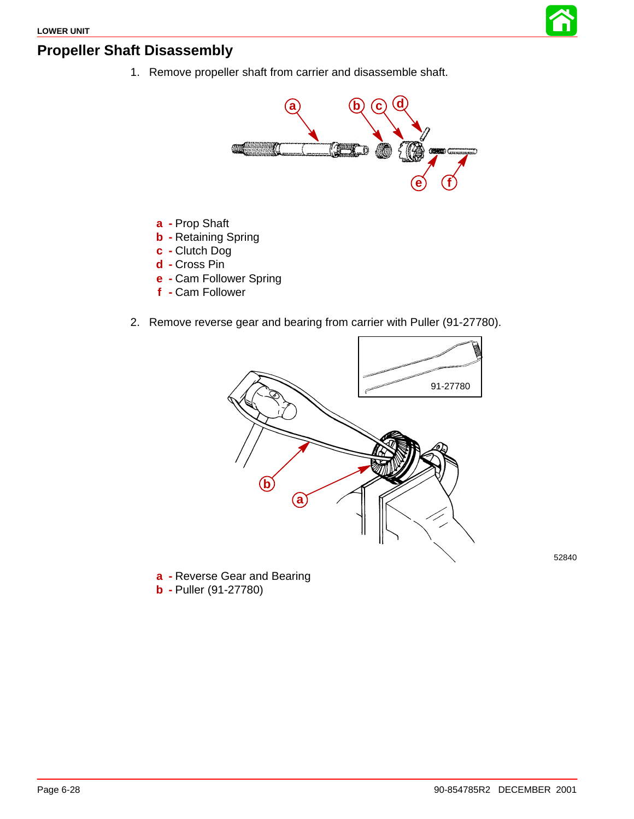

#### **Propeller Shaft Disassembly**

1. Remove propeller shaft from carrier and disassemble shaft.



- **a -** Prop Shaft
- **b -** Retaining Spring
- **c -** Clutch Dog
- **d -** Cross Pin
- **e -** Cam Follower Spring
- **f -** Cam Follower
- 2. Remove reverse gear and bearing from carrier with Puller (91-27780).



52840

**a -** Reverse Gear and Bearing **b -** Puller (91-27780)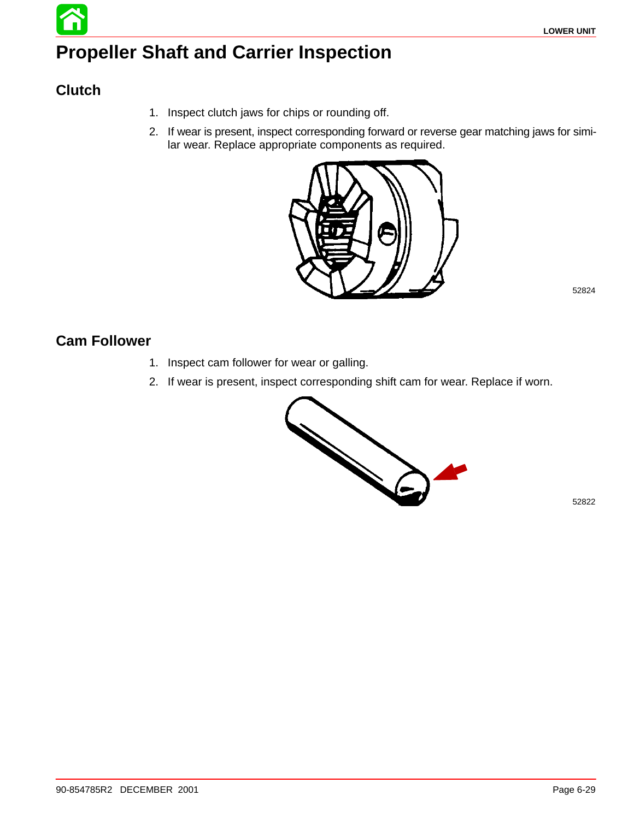# **Propeller Shaft and Carrier Inspection**

## **Clutch**

- 1. Inspect clutch jaws for chips or rounding off.
- 2. If wear is present, inspect corresponding forward or reverse gear matching jaws for similar wear. Replace appropriate components as required.



52824

### **Cam Follower**

- 1. Inspect cam follower for wear or galling.
- 2. If wear is present, inspect corresponding shift cam for wear. Replace if worn.

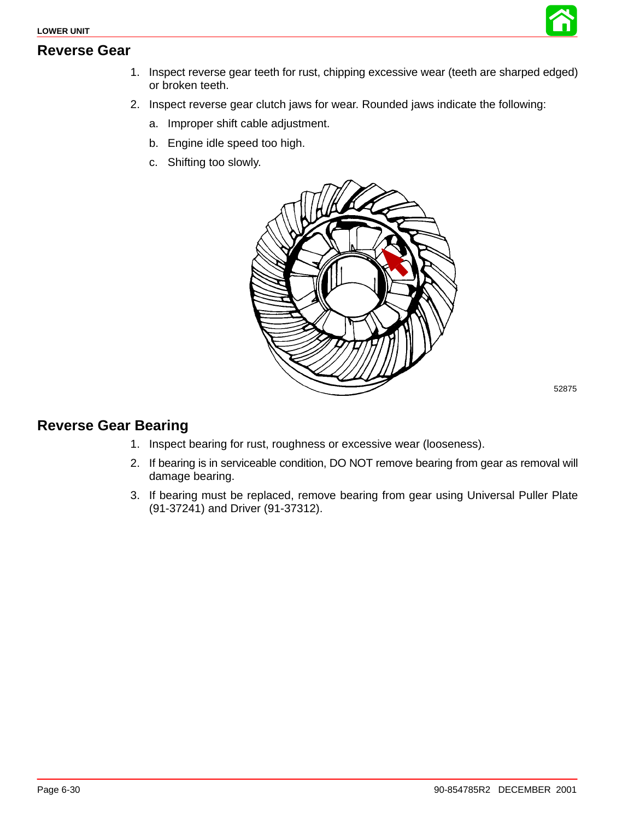



- 2. Inspect reverse gear clutch jaws for wear. Rounded jaws indicate the following:
	- a. Improper shift cable adjustment.
	- b. Engine idle speed too high.
	- c. Shifting too slowly.



52875

#### **Reverse Gear Bearing**

- 1. Inspect bearing for rust, roughness or excessive wear (looseness).
- 2. If bearing is in serviceable condition, DO NOT remove bearing from gear as removal will damage bearing.
- 3. If bearing must be replaced, remove bearing from gear using Universal Puller Plate (91-37241) and Driver (91-37312).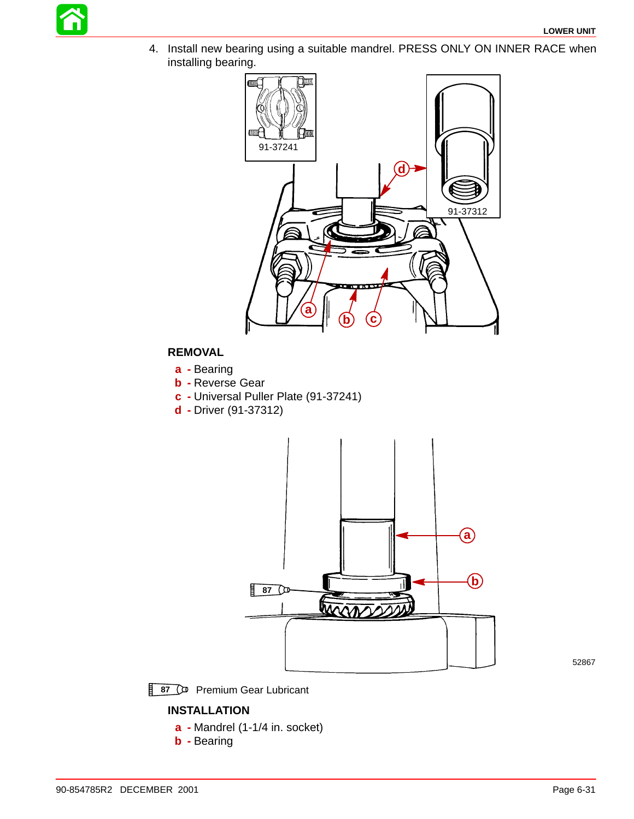

4. Install new bearing using a suitable mandrel. PRESS ONLY ON INNER RACE when installing bearing.



#### **REMOVAL**

- **a -** Bearing
- **b -** Reverse Gear
- **c -** Universal Puller Plate (91-37241)
- **d -** Driver (91-37312)



52867

**87 D** Premium Gear Lubricant

#### **INSTALLATION**

- **a -** Mandrel (1-1/4 in. socket)
- **b -** Bearing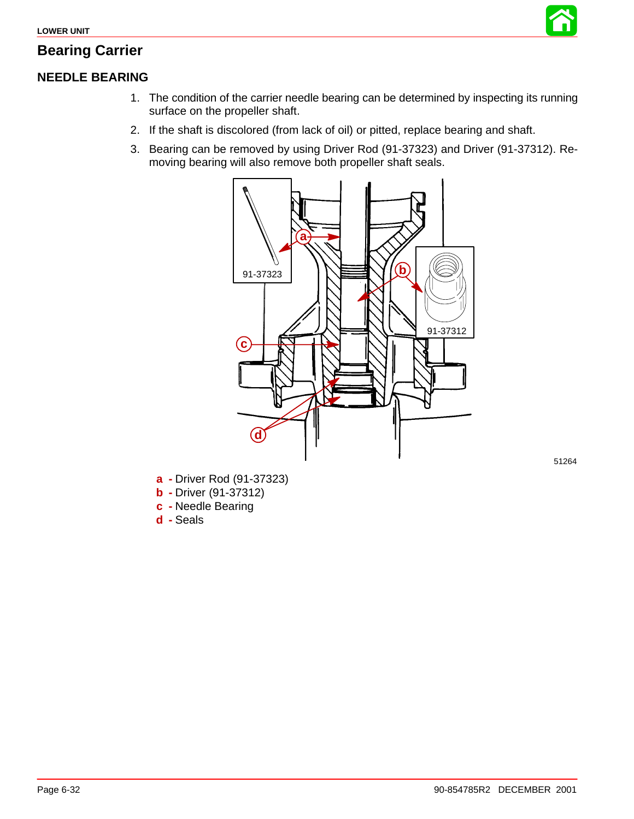

## **Bearing Carrier**

## **NEEDLE BEARING**

- 1. The condition of the carrier needle bearing can be determined by inspecting its running surface on the propeller shaft.
- 2. If the shaft is discolored (from lack of oil) or pitted, replace bearing and shaft.
- 3. Bearing can be removed by using Driver Rod (91-37323) and Driver (91-37312). Removing bearing will also remove both propeller shaft seals.



- **a -** Driver Rod (91-37323)
- **b -** Driver (91-37312)
- **c -** Needle Bearing
- **d -** Seals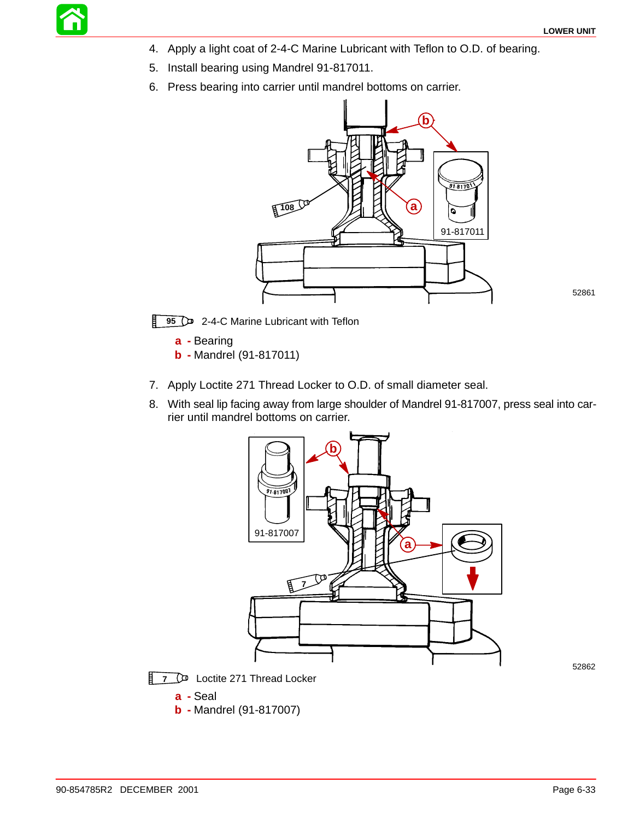- 4. Apply a light coat of 2-4-C Marine Lubricant with Teflon to O.D. of bearing.
- 5. Install bearing using Mandrel 91-817011.
- 6. Press bearing into carrier until mandrel bottoms on carrier.



52861

**95** 2-4-C Marine Lubricant with Teflon

**a -** Bearing

**b -** Mandrel (91-817011)

**b -** Mandrel (91-817007)

- 7. Apply Loctite 271 Thread Locker to O.D. of small diameter seal.
- 8. With seal lip facing away from large shoulder of Mandrel 91-817007, press seal into carrier until mandrel bottoms on carrier.

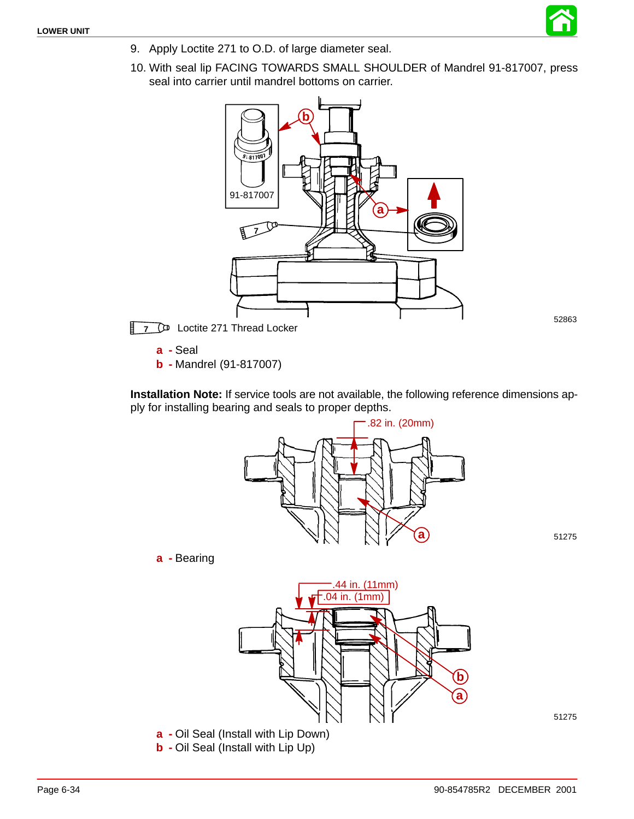

10. With seal lip FACING TOWARDS SMALL SHOULDER of Mandrel 91-817007, press seal into carrier until mandrel bottoms on carrier.



52863

**7 D** Loctite 271 Thread Locker

**a -** Seal

**b -** Mandrel (91-817007)

**Installation Note:** If service tools are not available, the following reference dimensions apply for installing bearing and seals to proper depths.

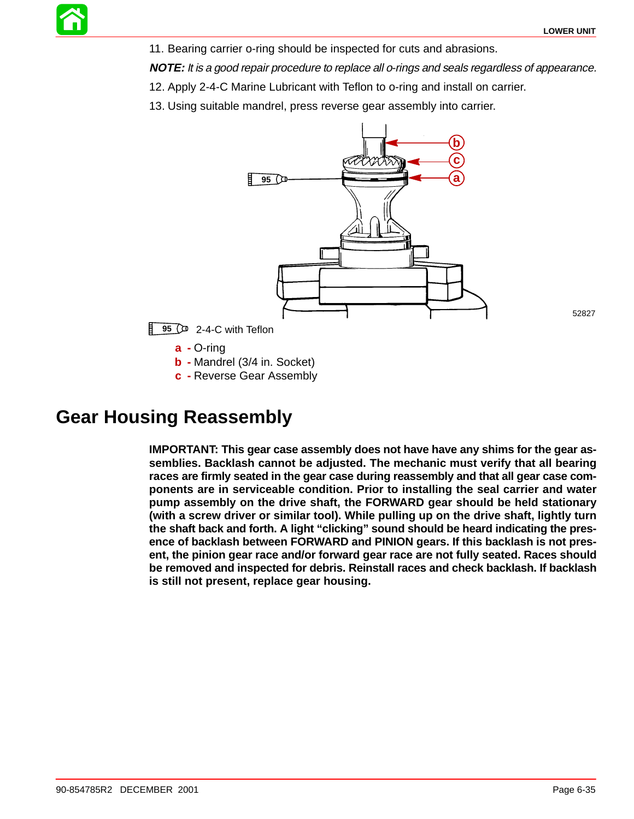11. Bearing carrier o-ring should be inspected for cuts and abrasions.

**NOTE:** It is a good repair procedure to replace all o-rings and seals regardless of appearance.

12. Apply 2-4-C Marine Lubricant with Teflon to o-ring and install on carrier.

13. Using suitable mandrel, press reverse gear assembly into carrier.



**95** 2-4-C with Teflon

**a -** O-ring

**b -** Mandrel (3/4 in. Socket)

**c -** Reverse Gear Assembly

## **Gear Housing Reassembly**

**IMPORTANT: This gear case assembly does not have have any shims for the gear assemblies. Backlash cannot be adjusted. The mechanic must verify that all bearing races are firmly seated in the gear case during reassembly and that all gear case components are in serviceable condition. Prior to installing the seal carrier and water pump assembly on the drive shaft, the FORWARD gear should be held stationary (with a screw driver or similar tool). While pulling up on the drive shaft, lightly turn the shaft back and forth. A light "clicking" sound should be heard indicating the presence of backlash between FORWARD and PINION gears. If this backlash is not present, the pinion gear race and/or forward gear race are not fully seated. Races should be removed and inspected for debris. Reinstall races and check backlash. If backlash is still not present, replace gear housing.**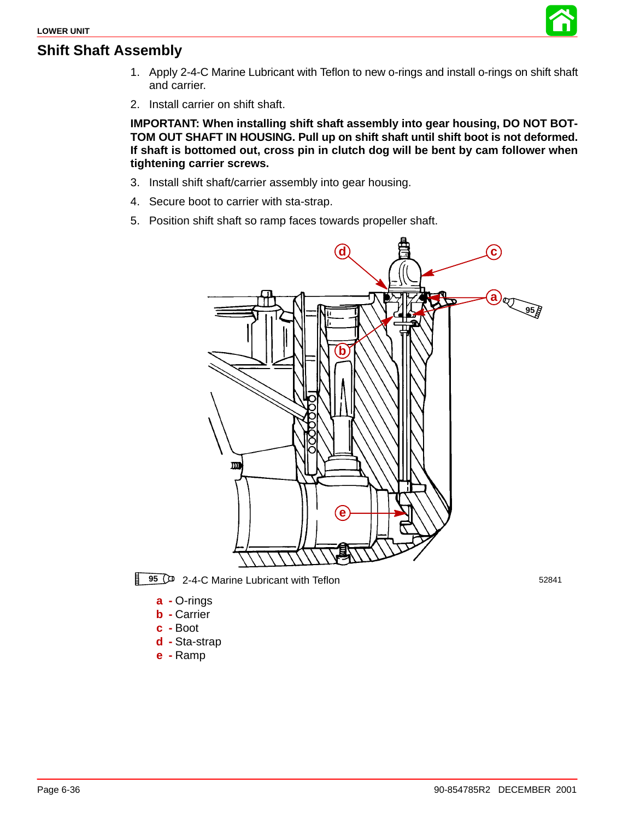#### **Shift Shaft Assembly**



- 1. Apply 2-4-C Marine Lubricant with Teflon to new o-rings and install o-rings on shift shaft and carrier.
- 2. Install carrier on shift shaft.

**IMPORTANT: When installing shift shaft assembly into gear housing, DO NOT BOT-TOM OUT SHAFT IN HOUSING. Pull up on shift shaft until shift boot is not deformed. If shaft is bottomed out, cross pin in clutch dog will be bent by cam follower when tightening carrier screws.**

- 3. Install shift shaft/carrier assembly into gear housing.
- 4. Secure boot to carrier with sta-strap.
- 5. Position shift shaft so ramp faces towards propeller shaft.



**95** 2-4-C Marine Lubricant with Teflon 52841

- **a -** O-rings
- **b -** Carrier
- **c -** Boot
- **d -** Sta-strap
- **e -** Ramp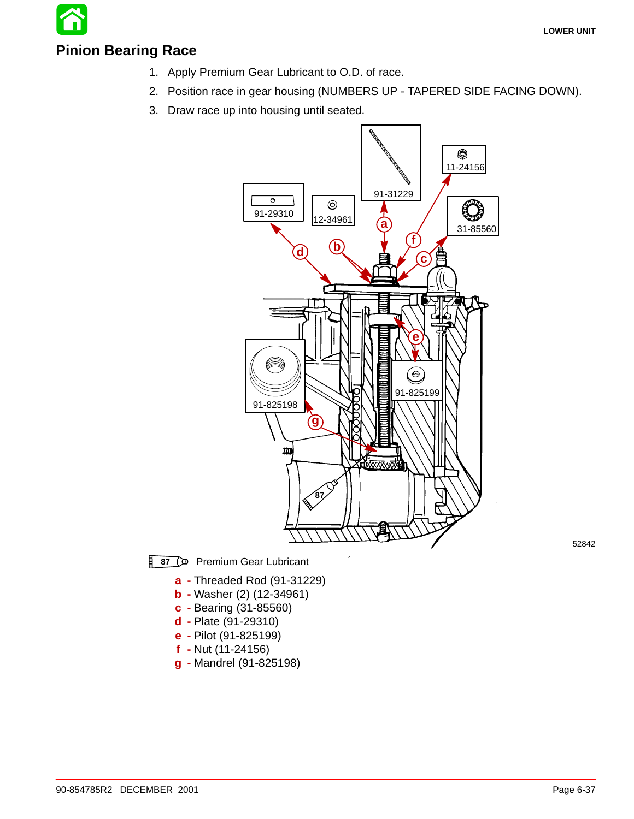#### **Pinion Bearing Race**

- 1. Apply Premium Gear Lubricant to O.D. of race.
- 2. Position race in gear housing (NUMBERS UP TAPERED SIDE FACING DOWN).
- 3. Draw race up into housing until seated.



**87** Premium Gear Lubricant

- **a -** Threaded Rod (91-31229)
- **b -** Washer (2) (12-34961)
- **c -** Bearing (31-85560)
- **d -** Plate (91-29310)
- **e -** Pilot (91-825199)
- **f -** Nut (11-24156)
- **g -** Mandrel (91-825198)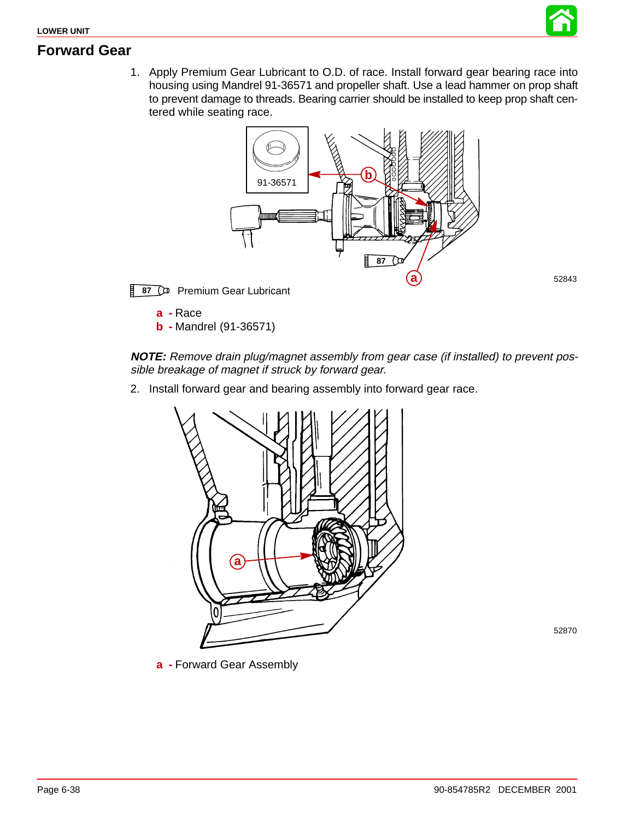

52843

#### **Forward Gear**

1. Apply Premium Gear Lubricant to O.D. of race. Install forward gear bearing race into housing using Mandrel 91-36571 and propeller shaft. Use a lead hammer on prop shaft to prevent damage to threads. Bearing carrier should be installed to keep prop shaft centered while seating race.



**87** Premium Gear Lubricant

**a -** Race

**b -** Mandrel (91-36571)

#### **NOTE:** Remove drain plug/magnet assembly from gear case (if installed) to prevent possible breakage of magnet if struck by forward gear.

2. Install forward gear and bearing assembly into forward gear race.



52870

**a -** Forward Gear Assembly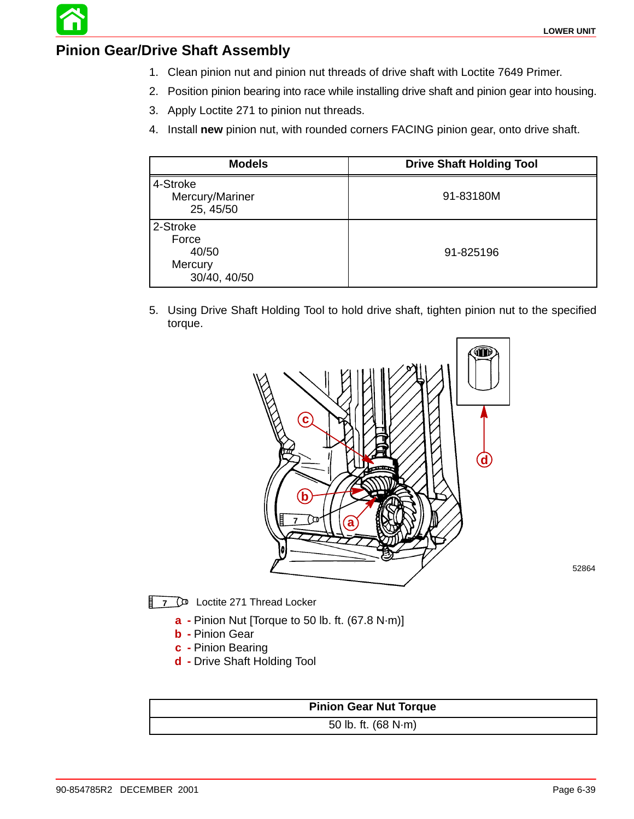

#### **Pinion Gear/Drive Shaft Assembly**

- 1. Clean pinion nut and pinion nut threads of drive shaft with Loctite 7649 Primer.
- 2. Position pinion bearing into race while installing drive shaft and pinion gear into housing.
- 3. Apply Loctite 271 to pinion nut threads.
- 4. Install **new** pinion nut, with rounded corners FACING pinion gear, onto drive shaft.

| <b>Models</b>                                         | <b>Drive Shaft Holding Tool</b> |
|-------------------------------------------------------|---------------------------------|
| 4-Stroke<br>Mercury/Mariner<br>25, 45/50              | 91-83180M                       |
| 2-Stroke<br>Force<br>40/50<br>Mercury<br>30/40, 40/50 | 91-825196                       |

5. Using Drive Shaft Holding Tool to hold drive shaft, tighten pinion nut to the specified torque.



**7 D** Loctite 271 Thread Locker

- **a -** Pinion Nut [Torque to 50 lb. ft. (67.8 N·m)]
- **b -** Pinion Gear
- **c -** Pinion Bearing
- **d -** Drive Shaft Holding Tool

**Pinion Gear Nut Torque**

50 lb. ft. (68 N·m)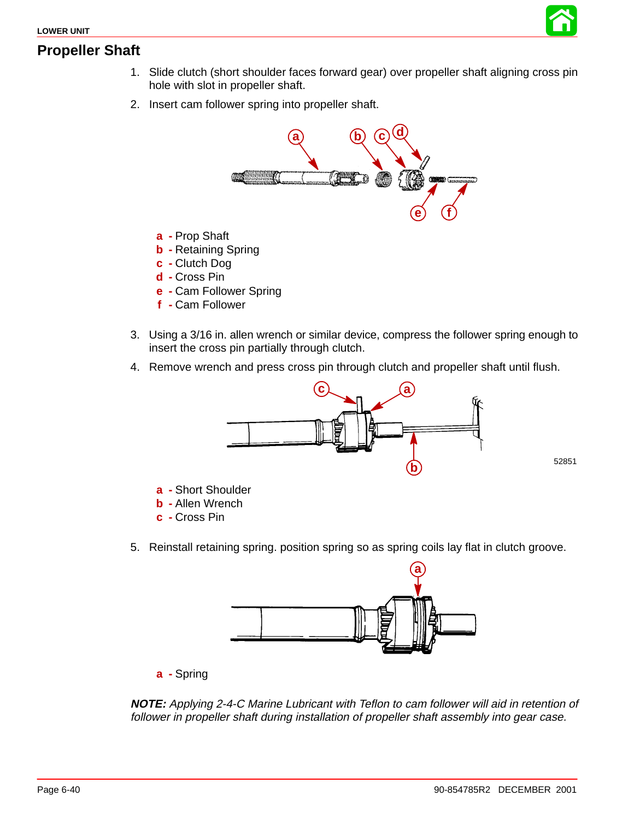



2. Insert cam follower spring into propeller shaft.



- **a -** Prop Shaft
- **b -** Retaining Spring
- **c -** Clutch Dog
- **d -** Cross Pin
- **e -** Cam Follower Spring
- **f -** Cam Follower
- 3. Using a 3/16 in. allen wrench or similar device, compress the follower spring enough to insert the cross pin partially through clutch.
- 4. Remove wrench and press cross pin through clutch and propeller shaft until flush.



52851

- **a -** Short Shoulder
- **b -** Allen Wrench
- **c -** Cross Pin
- 5. Reinstall retaining spring. position spring so as spring coils lay flat in clutch groove.



**a -** Spring

**NOTE:** Applying 2-4-C Marine Lubricant with Teflon to cam follower will aid in retention of follower in propeller shaft during installation of propeller shaft assembly into gear case.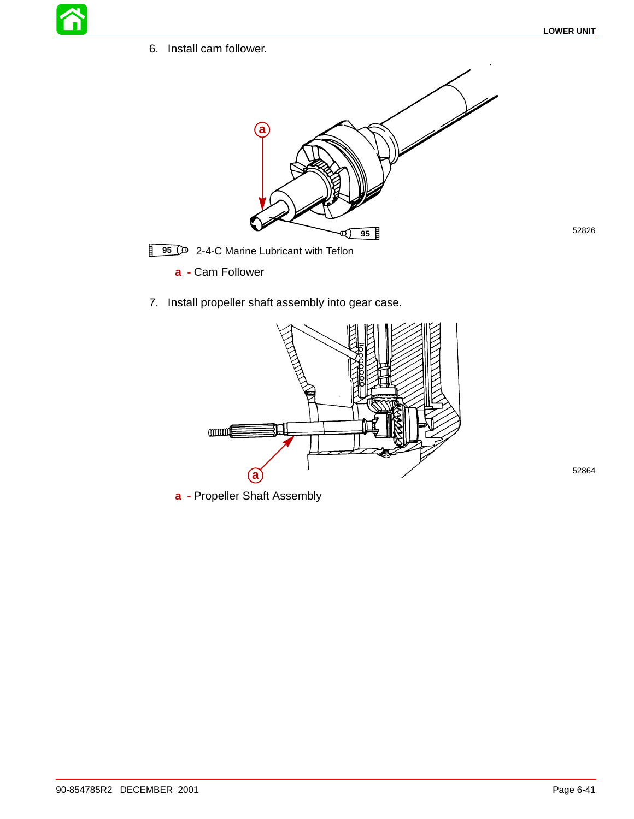6. Install cam follower.



**95** <sup>1</sup> 2-4-C Marine Lubricant with Teflon

**a -** Cam Follower

7. Install propeller shaft assembly into gear case.



**a -** Propeller Shaft Assembly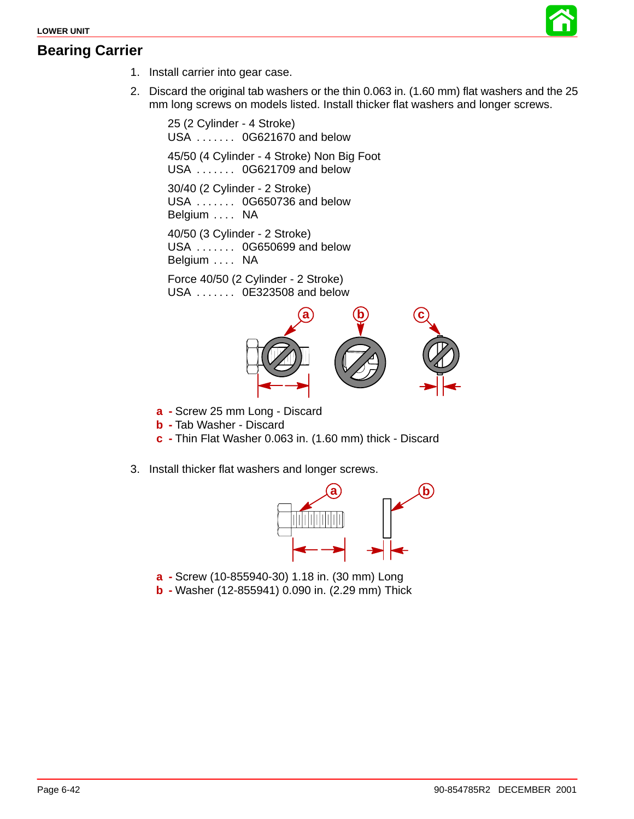#### **Bearing Carrier**



- 1. Install carrier into gear case.
- 2. Discard the original tab washers or the thin 0.063 in. (1.60 mm) flat washers and the 25 mm long screws on models listed. Install thicker flat washers and longer screws.

25 (2 Cylinder - 4 Stroke) USA . . . . . . . 0G621670 and below 45/50 (4 Cylinder - 4 Stroke) Non Big Foot USA . . . . . . . 0G621709 and below 30/40 (2 Cylinder - 2 Stroke) USA . . . . . . . 0G650736 and below Belgium .... NA 40/50 (3 Cylinder - 2 Stroke) USA . . . . . . . 0G650699 and below Belgium .... NA

Force 40/50 (2 Cylinder - 2 Stroke) USA . . . . . . . 0E323508 and below



- **a -** Screw 25 mm Long Discard
- **b -** Tab Washer Discard
- **c -** Thin Flat Washer 0.063 in. (1.60 mm) thick Discard
- 3. Install thicker flat washers and longer screws.



- **a -** Screw (10-855940-30) 1.18 in. (30 mm) Long
- **b -** Washer (12-855941) 0.090 in. (2.29 mm) Thick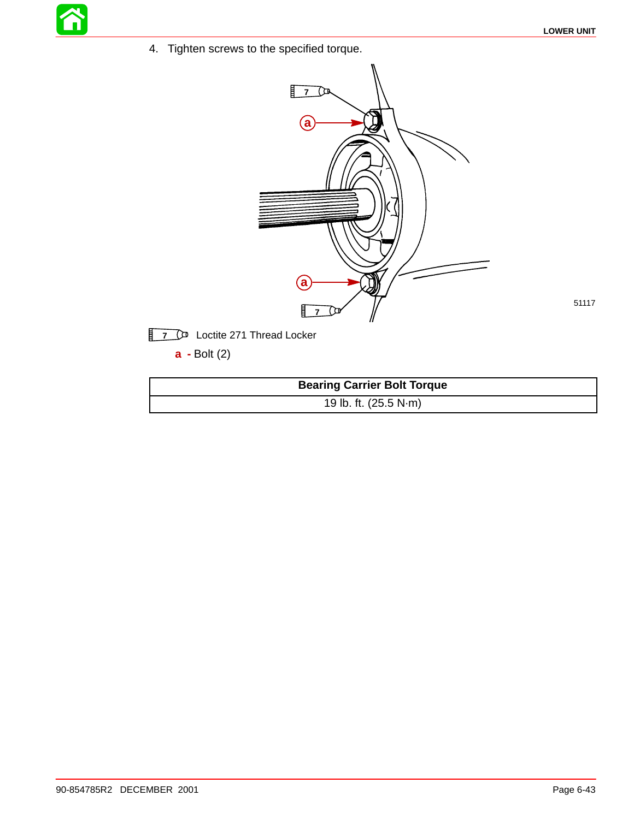51117

4. Tighten screws to the specified torque.



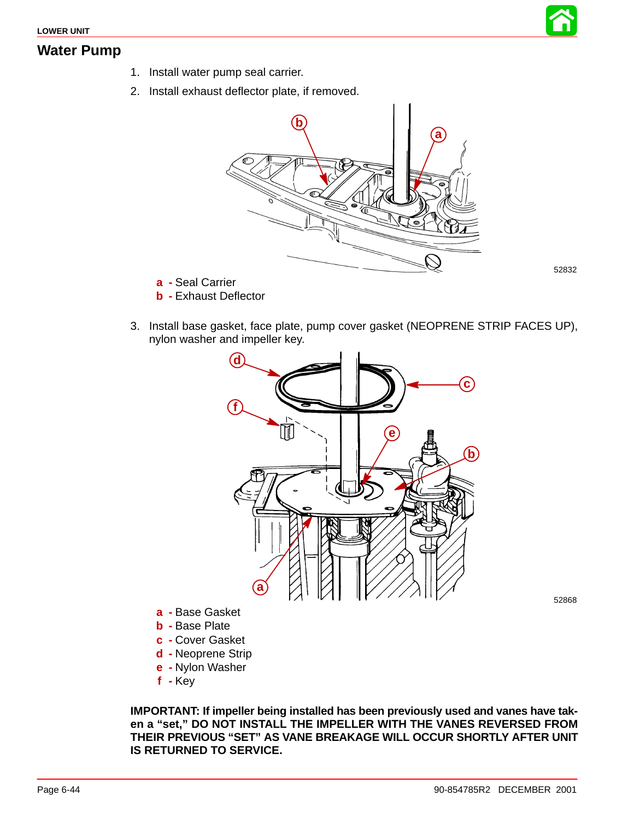

#### **Water Pump**

- 1. Install water pump seal carrier.
- 2. Install exhaust deflector plate, if removed.



52832

- **a -** Seal Carrier
- **b -** Exhaust Deflector
- 3. Install base gasket, face plate, pump cover gasket (NEOPRENE STRIP FACES UP), nylon washer and impeller key.



- **a -** Base Gasket
- **b -** Base Plate
- **c -** Cover Gasket
- **d -** Neoprene Strip
- **e -** Nylon Washer
- **f -** Key

**IMPORTANT: If impeller being installed has been previously used and vanes have taken a "set," DO NOT INSTALL THE IMPELLER WITH THE VANES REVERSED FROM THEIR PREVIOUS "SET" AS VANE BREAKAGE WILL OCCUR SHORTLY AFTER UNIT IS RETURNED TO SERVICE.**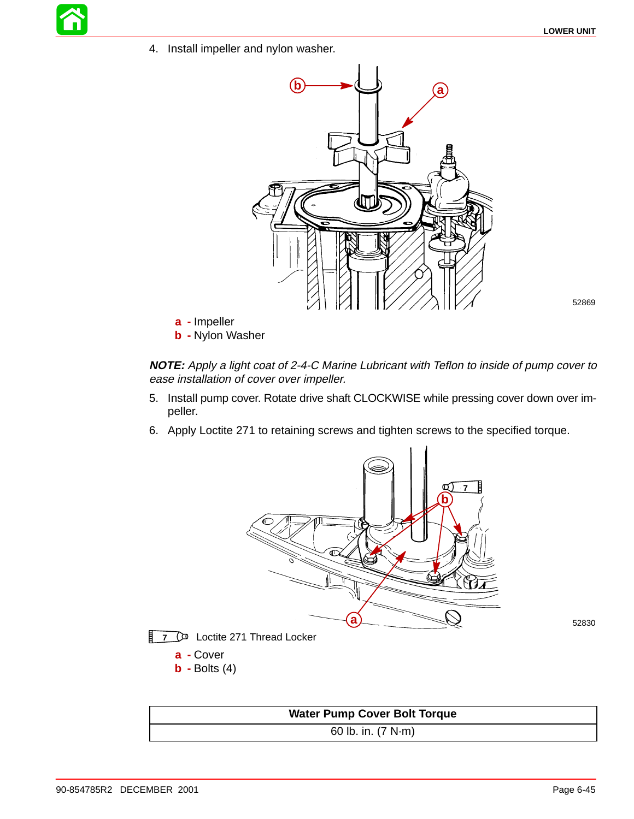4. Install impeller and nylon washer.



52869

- **a -** Impeller
- **b -** Nylon Washer

**NOTE:** Apply a light coat of 2-4-C Marine Lubricant with Teflon to inside of pump cover to ease installation of cover over impeller.

- 5. Install pump cover. Rotate drive shaft CLOCKWISE while pressing cover down over impeller.
- 6. Apply Loctite 271 to retaining screws and tighten screws to the specified torque.



- **7** D<sup>D</sup> Loctite 271 Thread Locker
	- **a -** Cover
	- **b -** Bolts (4)

| <b>Water Pump Cover Bolt Torque</b> |  |  |
|-------------------------------------|--|--|
| 60 lb. in. $(7 N·m)$                |  |  |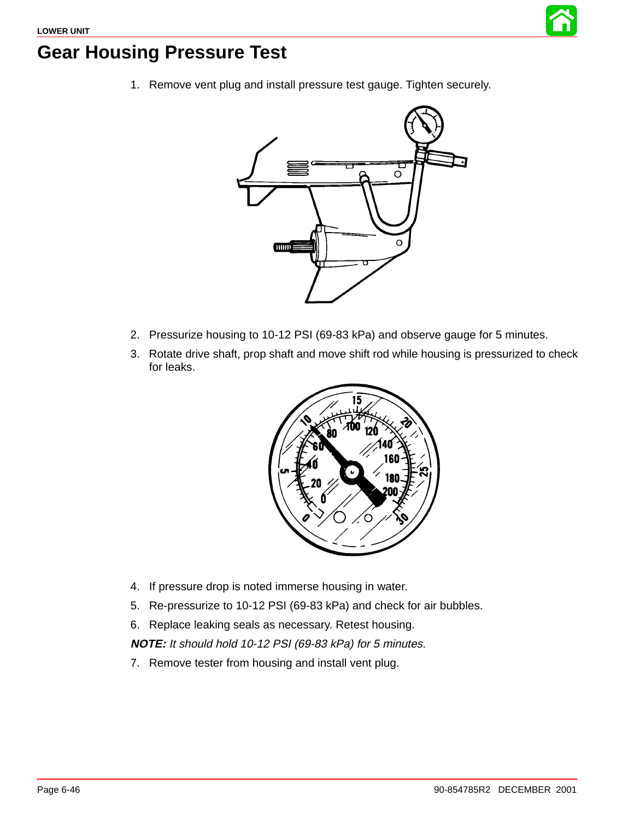

## **Gear Housing Pressure Test**

1. Remove vent plug and install pressure test gauge. Tighten securely.



- 2. Pressurize housing to 10-12 PSI (69-83 kPa) and observe gauge for 5 minutes.
- 3. Rotate drive shaft, prop shaft and move shift rod while housing is pressurized to check for leaks.



- 4. If pressure drop is noted immerse housing in water.
- 5. Re-pressurize to 10-12 PSI (69-83 kPa) and check for air bubbles.
- 6. Replace leaking seals as necessary. Retest housing.

**NOTE:** It should hold 10-12 PSI (69-83 kPa) for 5 minutes.

7. Remove tester from housing and install vent plug.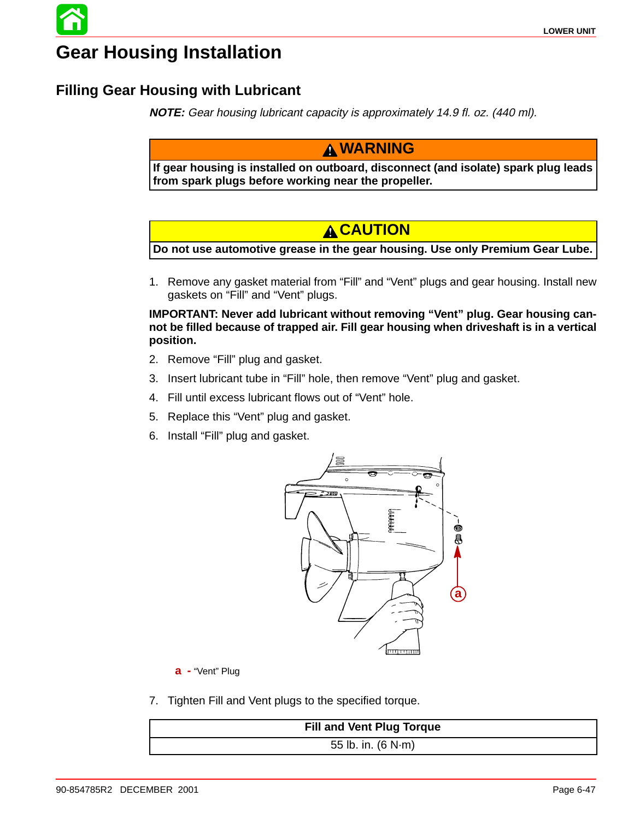# **Gear Housing Installation**

## **Filling Gear Housing with Lubricant**

**NOTE:** Gear housing lubricant capacity is approximately 14.9 fl. oz. (440 ml).

#### **WARNING**

**If gear housing is installed on outboard, disconnect (and isolate) spark plug leads from spark plugs before working near the propeller.**

## **CAUTION**

**Do not use automotive grease in the gear housing. Use only Premium Gear Lube.**

1. Remove any gasket material from "Fill" and "Vent" plugs and gear housing. Install new gaskets on "Fill" and "Vent" plugs.

**IMPORTANT: Never add lubricant without removing "Vent" plug. Gear housing cannot be filled because of trapped air. Fill gear housing when driveshaft is in a vertical position.**

- 2. Remove "Fill" plug and gasket.
- 3. Insert lubricant tube in "Fill" hole, then remove "Vent" plug and gasket.
- 4. Fill until excess lubricant flows out of "Vent" hole.
- 5. Replace this "Vent" plug and gasket.
- 6. Install "Fill" plug and gasket.



**a -** "Vent" Plug

7. Tighten Fill and Vent plugs to the specified torque.

| <b>Fill and Vent Plug Torque</b> |
|----------------------------------|
| 55 lb. in. (6 N·m)               |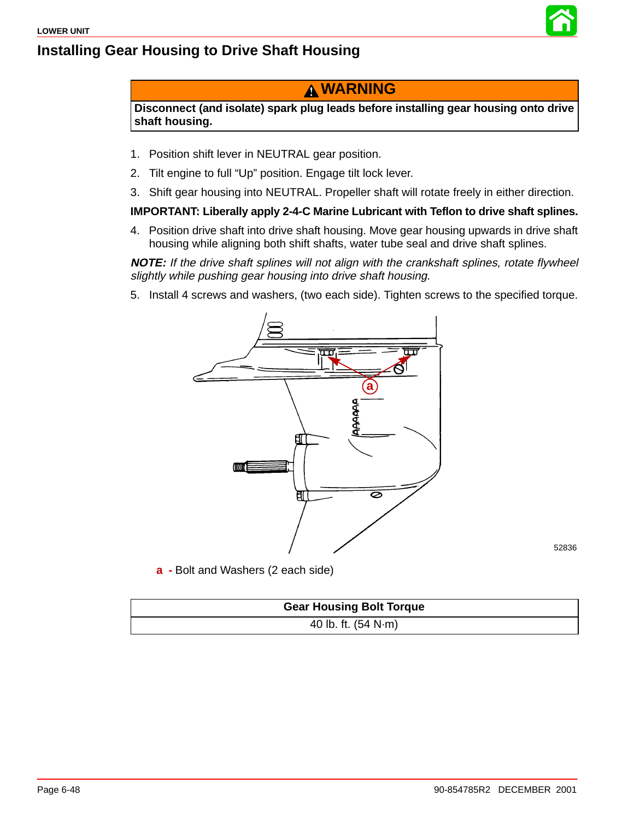



#### **WARNING**

**Disconnect (and isolate) spark plug leads before installing gear housing onto drive shaft housing.**

- 1. Position shift lever in NEUTRAL gear position.
- 2. Tilt engine to full "Up" position. Engage tilt lock lever.
- 3. Shift gear housing into NEUTRAL. Propeller shaft will rotate freely in either direction.

#### **IMPORTANT: Liberally apply 2-4-C Marine Lubricant with Teflon to drive shaft splines.**

4. Position drive shaft into drive shaft housing. Move gear housing upwards in drive shaft housing while aligning both shift shafts, water tube seal and drive shaft splines.

**NOTE:** If the drive shaft splines will not align with the crankshaft splines, rotate flywheel slightly while pushing gear housing into drive shaft housing.

5. Install 4 screws and washers, (two each side). Tighten screws to the specified torque.



**a -** Bolt and Washers (2 each side)

| <b>Gear Housing Bolt Torque</b> |
|---------------------------------|
| 40 lb. ft. $(54 N·m)$           |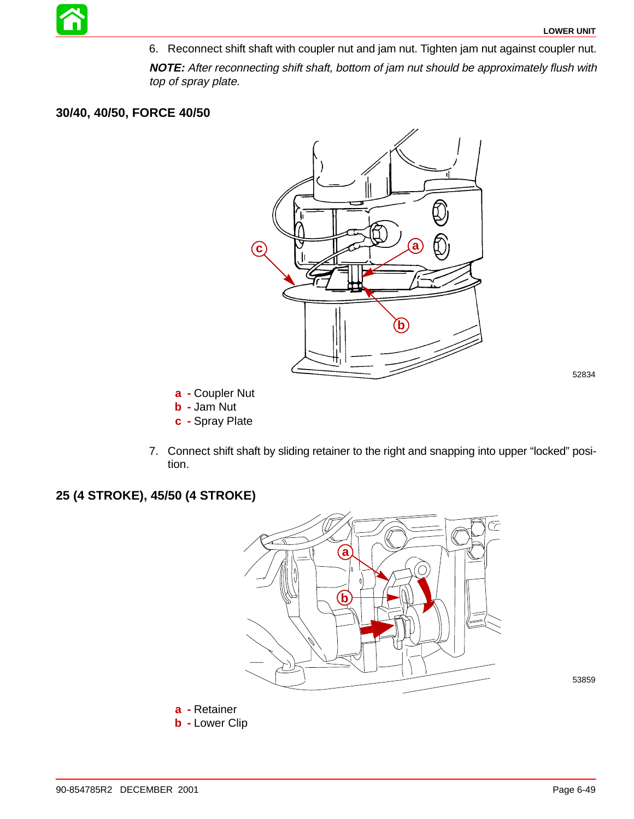6. Reconnect shift shaft with coupler nut and jam nut. Tighten jam nut against coupler nut.

**NOTE:** After reconnecting shift shaft, bottom of jam nut should be approximately flush with top of spray plate.

#### **30/40, 40/50, FORCE 40/50**



52834

- **a -** Coupler Nut
- **b -** Jam Nut
- **c -** Spray Plate
- 7. Connect shift shaft by sliding retainer to the right and snapping into upper "locked" position.

#### **25 (4 STROKE), 45/50 (4 STROKE)**



53859

**a -** Retainer **b -** Lower Clip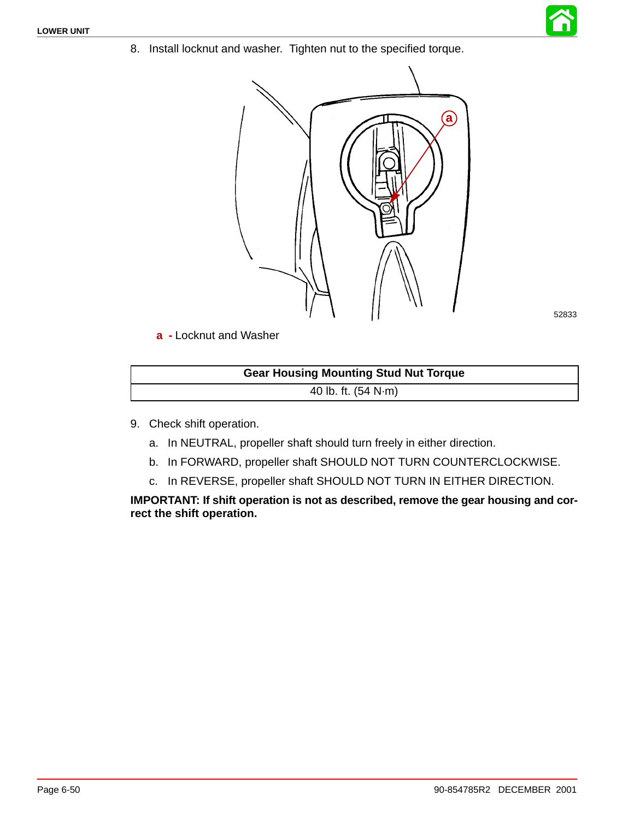8. Install locknut and washer. Tighten nut to the specified torque.



52833

**a -** Locknut and Washer

| <b>Gear Housing Mounting Stud Nut Torque</b> |  |
|----------------------------------------------|--|
| 40 lb. ft. $(54 N·m)$                        |  |

- 9. Check shift operation.
	- a. In NEUTRAL, propeller shaft should turn freely in either direction.
	- b. In FORWARD, propeller shaft SHOULD NOT TURN COUNTERCLOCKWISE.
	- c. In REVERSE, propeller shaft SHOULD NOT TURN IN EITHER DIRECTION.

**IMPORTANT: If shift operation is not as described, remove the gear housing and correct the shift operation.**